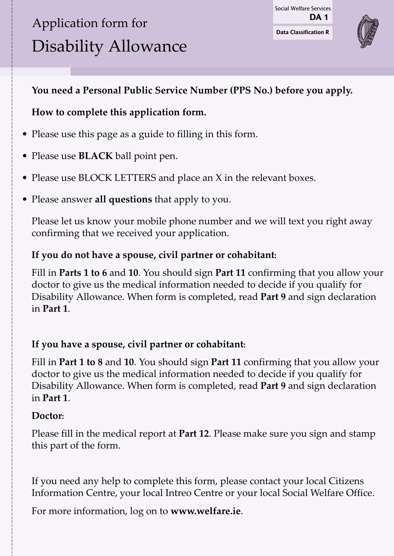# Application form for Disability Allowance

**DA 1** Social Welfare Services **Data Classification R**



# **You need a Personal Public Service Number (PPS No.) before you apply.**

# **How to complete this application form.**

- Please use this page as a guide to filling in this form.
- Please use **black** ball point pen.
- Please use BLOCK LETTERS and place an X in the relevant boxes.
- Please answer **all questions** that apply to you.

Please let us know your mobile phone number and we will text you right away confirming that we received your application.

# **If you do not have a spouse, civil partner or cohabitant:**

Fill in **Parts 1 to 6** and **10**. You should sign **Part 11** confirming that you allow your doctor to give us the medical information needed to decide if you qualify for Disability Allowance. When form is completed, read **Part 9** and sign declaration in **Part 1**.

# **If you have a spouse, civil partner or cohabitant:**

Fill in **Part 1 to 8** and **10**. You should sign **Part 11** confirming that you allow your doctor to give us the medical information needed to decide if you qualify for Disability Allowance. When form is completed, read **Part 9** and sign declaration in **Part 1**.

# **Doctor:**

Please fill in the medical report at **Part 12**. Please make sure you sign and stamp this part of the form.

If you need any help to complete this form, please contact your local Citizens Information Centre, your local Intreo Centre or your local Social Welfare Office.

For more information, log on to **www.welfare.ie**.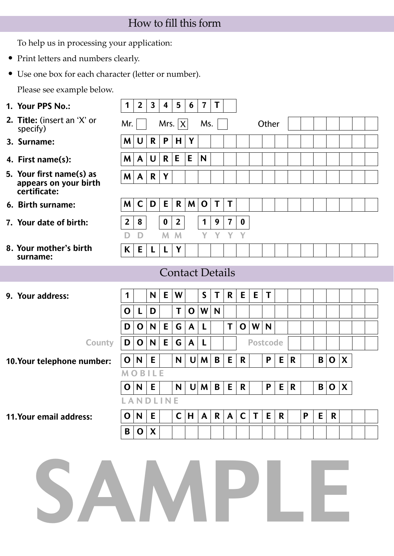# How to fill this form

To help us in processing your application:

- Print letters and numbers clearly.
- Use one box for each character (letter or number).

Please see example below.

| 1. Your PPS No.:                                                  | 1              | $\overline{2}$ | 3            | 4                | 5              | 6                      | $\overline{\mathbf{7}}$ | T           |                         |                  |                 |              |             |             |   |   |             |   |  |
|-------------------------------------------------------------------|----------------|----------------|--------------|------------------|----------------|------------------------|-------------------------|-------------|-------------------------|------------------|-----------------|--------------|-------------|-------------|---|---|-------------|---|--|
| 2. Title: (insert an 'X' or<br>specify)                           | Mr.            |                |              | Mrs. $ X $       |                |                        | Ms.                     |             |                         |                  |                 | Other        |             |             |   |   |             |   |  |
| 3. Surname:                                                       | M              | U              | R            | P                | H              | Y                      |                         |             |                         |                  |                 |              |             |             |   |   |             |   |  |
| 4. First name(s):                                                 | M              | $\mathbf{A}$   | U            | $\mathbf R$      | E              | E                      | N                       |             |                         |                  |                 |              |             |             |   |   |             |   |  |
| 5. Your first name(s) as<br>appears on your birth<br>certificate: | $M \mid A$     |                | $\mathbf R$  | Y                |                |                        |                         |             |                         |                  |                 |              |             |             |   |   |             |   |  |
| 6. Birth surname:                                                 | M              | $\mathsf{C}$   | D            | E                | R              | M                      | $\mathbf 0$             | T           | T                       |                  |                 |              |             |             |   |   |             |   |  |
| 7. Your date of birth:                                            | $\overline{2}$ | 8              |              | $\boldsymbol{0}$ | $\overline{2}$ |                        | $\mathbf{1}$            | 9           | $\overline{\mathbf{7}}$ | $\boldsymbol{0}$ |                 |              |             |             |   |   |             |   |  |
|                                                                   | D              | D              |              | M                | M              |                        | Y                       | Y           | Υ                       | Y                |                 |              |             |             |   |   |             |   |  |
| 8. Your mother's birth<br>surname:                                | K              | E              | L            | L                | Y              |                        |                         |             |                         |                  |                 |              |             |             |   |   |             |   |  |
|                                                                   |                |                |              |                  |                | <b>Contact Details</b> |                         |             |                         |                  |                 |              |             |             |   |   |             |   |  |
|                                                                   |                |                |              |                  |                |                        |                         |             |                         |                  |                 |              |             |             |   |   |             |   |  |
| 9. Your address:                                                  | 1              |                | N            | E                | W              |                        | $\mathsf{S}$            | T           | $\mathbf{R}$            | E                | E               | T            |             |             |   |   |             |   |  |
|                                                                   | $\mathbf O$    | L              | D            |                  | T              | $\mathbf 0$            | W                       | N           |                         |                  |                 |              |             |             |   |   |             |   |  |
|                                                                   | D              | $\mathbf O$    | N            | E                | G              | $\mathbf{A}$           | L                       |             | T                       | $\mathbf 0$      | W               | $\mathsf{N}$ |             |             |   |   |             |   |  |
| <b>County</b>                                                     | D              | $\mathbf O$    | $\mathsf{N}$ | E                | G              | A                      | L                       |             |                         |                  | <b>Postcode</b> |              |             |             |   |   |             |   |  |
| 10.Your telephone number:                                         | $\mathbf 0$    | $\mathsf{N}$   | E            |                  | N              | $\cup$                 | M                       | $\mathbf B$ | E                       | $\mathbf R$      |                 | P            | E.          | $\mathbf R$ |   | B | $\mathbf 0$ | X |  |
|                                                                   | M              | B              | LЕ           |                  |                |                        |                         |             |                         |                  |                 |              |             |             |   |   |             |   |  |
|                                                                   | $\mathbf 0$    | N              | Е            |                  | N              | U                      | M                       | B           | E                       | R                |                 | P            | E.          | R           |   | B | $\mathbf 0$ | X |  |
|                                                                   |                |                |              | <b>ANDLINE</b>   |                |                        |                         |             |                         |                  |                 |              |             |             |   |   |             |   |  |
| 11.Your email address:                                            |                | O N            | E            |                  |                | C H                    | A                       |             | R   A                   | $\mathsf{C}$     | $\mathbf{T}$    | E.           | $\mathsf R$ |             | P | E | R           |   |  |
|                                                                   | $\mathbf{B}$   | $\mathbf O$    | X            |                  |                |                        |                         |             |                         |                  |                 |              |             |             |   |   |             |   |  |
|                                                                   |                |                |              |                  |                |                        |                         |             |                         |                  |                 |              |             |             |   |   |             |   |  |
|                                                                   |                |                |              |                  |                | VPI                    |                         |             |                         |                  |                 |              |             |             |   |   |             |   |  |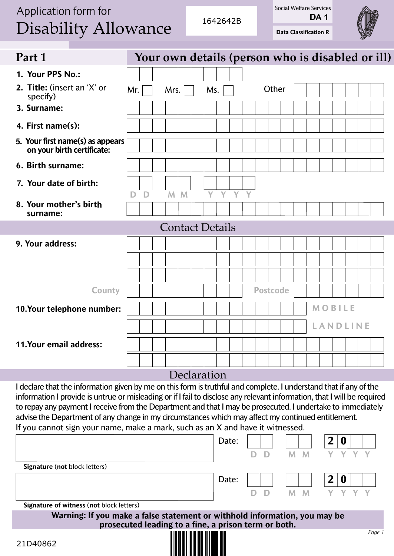# Application form for Disability Allowance

1642642B

**DA 1** Social Welfare Services

**Data Classification R**



| Part 1                                                                                                            |     |   |                        |     |             |         |                 |       |  |               |  | Your own details (person who is disabled or ill) |
|-------------------------------------------------------------------------------------------------------------------|-----|---|------------------------|-----|-------------|---------|-----------------|-------|--|---------------|--|--------------------------------------------------|
| 1. Your PPS No.:                                                                                                  |     |   |                        |     |             |         |                 |       |  |               |  |                                                  |
| 2. Title: (insert an 'X' or<br>specify)                                                                           | Mr. |   | Mrs.                   |     | Ms.         |         |                 | Other |  |               |  |                                                  |
| 3. Surname:                                                                                                       |     |   |                        |     |             |         |                 |       |  |               |  |                                                  |
| 4. First name(s):                                                                                                 |     |   |                        |     |             |         |                 |       |  |               |  |                                                  |
| 5. Your first name(s) as appears<br>on your birth certificate:                                                    |     |   |                        |     |             |         |                 |       |  |               |  |                                                  |
| 6. Birth surname:                                                                                                 |     |   |                        |     |             |         |                 |       |  |               |  |                                                  |
| 7. Your date of birth:                                                                                            | D   | D |                        | M M |             | Y Y Y Y |                 |       |  |               |  |                                                  |
| 8. Your mother's birth<br>surname:                                                                                |     |   |                        |     |             |         |                 |       |  |               |  |                                                  |
|                                                                                                                   |     |   | <b>Contact Details</b> |     |             |         |                 |       |  |               |  |                                                  |
| 9. Your address:                                                                                                  |     |   |                        |     |             |         |                 |       |  |               |  |                                                  |
|                                                                                                                   |     |   |                        |     |             |         |                 |       |  |               |  |                                                  |
|                                                                                                                   |     |   |                        |     |             |         |                 |       |  |               |  |                                                  |
| <b>County</b>                                                                                                     |     |   |                        |     |             |         | <b>Postcode</b> |       |  |               |  |                                                  |
| 10.Your telephone number:                                                                                         |     |   |                        |     |             |         |                 |       |  | <b>MOBILE</b> |  |                                                  |
|                                                                                                                   |     |   |                        |     |             |         |                 |       |  | LANDLINE      |  |                                                  |
| 11.Your email address:                                                                                            |     |   |                        |     |             |         |                 |       |  |               |  |                                                  |
|                                                                                                                   |     |   |                        |     |             |         |                 |       |  |               |  |                                                  |
|                                                                                                                   |     |   |                        |     | Declaration |         |                 |       |  |               |  |                                                  |
| I declare that the information given by me on this form is truthful and complete. I understand that if any of the |     |   |                        |     |             |         |                 |       |  |               |  |                                                  |

information I provide is untrue or misleading or if I fail to disclose any relevant information, that I will be required to repay any payment I receive from the Department and that I may be prosecuted. I undertake to immediately advise the Department of any change in my circumstances which may affect my continued entitlement. If you cannot sign your name, make a mark, such as an X and have it witnessed.

|                                                                                                                                    | Date: |     | 2<br>U |       |
|------------------------------------------------------------------------------------------------------------------------------------|-------|-----|--------|-------|
|                                                                                                                                    |       | - M |        |       |
| Signature (not block letters)                                                                                                      |       |     |        |       |
|                                                                                                                                    | Date: |     |        |       |
|                                                                                                                                    |       |     |        |       |
| Signature of witness (not block letters)                                                                                           |       |     |        |       |
| Warning: If you make a false statement or withhold information, you may be<br>prosecuted leading to a fine, a prison term or both. |       |     |        |       |
|                                                                                                                                    |       |     |        | Paae: |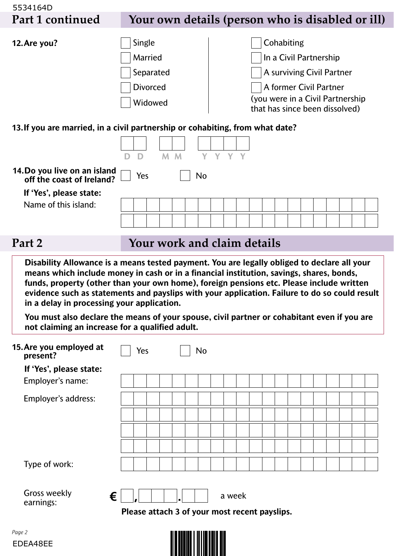| 5534164D                                                                                      |                                                                                                                                                                                                                                                                                                                                                                                                                                                                                     |  |
|-----------------------------------------------------------------------------------------------|-------------------------------------------------------------------------------------------------------------------------------------------------------------------------------------------------------------------------------------------------------------------------------------------------------------------------------------------------------------------------------------------------------------------------------------------------------------------------------------|--|
| Part 1 continued                                                                              | Your own details (person who is disabled or ill)                                                                                                                                                                                                                                                                                                                                                                                                                                    |  |
| 12.Are you?                                                                                   | Cohabiting<br>Single<br>Married<br>In a Civil Partnership<br>Separated<br>A surviving Civil Partner<br><b>Divorced</b><br>A former Civil Partner<br>(you were in a Civil Partnership<br>Widowed<br>that has since been dissolved)                                                                                                                                                                                                                                                   |  |
|                                                                                               | 13. If you are married, in a civil partnership or cohabiting, from what date?                                                                                                                                                                                                                                                                                                                                                                                                       |  |
|                                                                                               | M M<br>Y Y Y Y<br>D<br>D                                                                                                                                                                                                                                                                                                                                                                                                                                                            |  |
| 14. Do you live on an island<br>off the coast of Ireland?                                     | Yes<br><b>No</b>                                                                                                                                                                                                                                                                                                                                                                                                                                                                    |  |
| If 'Yes', please state:<br>Name of this island:                                               |                                                                                                                                                                                                                                                                                                                                                                                                                                                                                     |  |
| Part 2                                                                                        | Your work and claim details                                                                                                                                                                                                                                                                                                                                                                                                                                                         |  |
| in a delay in processing your application.<br>not claiming an increase for a qualified adult. | Disability Allowance is a means tested payment. You are legally obliged to declare all your<br>means which include money in cash or in a financial institution, savings, shares, bonds,<br>funds, property (other than your own home), foreign pensions etc. Please include written<br>evidence such as statements and payslips with your application. Failure to do so could result<br>You must also declare the means of your spouse, civil partner or cohabitant even if you are |  |
| 15. Are you employed at<br>present?                                                           | <b>No</b><br>Yes                                                                                                                                                                                                                                                                                                                                                                                                                                                                    |  |
| If 'Yes', please state:                                                                       |                                                                                                                                                                                                                                                                                                                                                                                                                                                                                     |  |
| Employer's name:                                                                              |                                                                                                                                                                                                                                                                                                                                                                                                                                                                                     |  |
| Employer's address:                                                                           |                                                                                                                                                                                                                                                                                                                                                                                                                                                                                     |  |
|                                                                                               |                                                                                                                                                                                                                                                                                                                                                                                                                                                                                     |  |
|                                                                                               |                                                                                                                                                                                                                                                                                                                                                                                                                                                                                     |  |
|                                                                                               |                                                                                                                                                                                                                                                                                                                                                                                                                                                                                     |  |
| Type of work:                                                                                 |                                                                                                                                                                                                                                                                                                                                                                                                                                                                                     |  |
| <b>Gross weekly</b><br>€<br>earnings:                                                         | a week<br>Please attach 3 of your most recent payslips.                                                                                                                                                                                                                                                                                                                                                                                                                             |  |
| Page 2<br>EDEA48EE                                                                            |                                                                                                                                                                                                                                                                                                                                                                                                                                                                                     |  |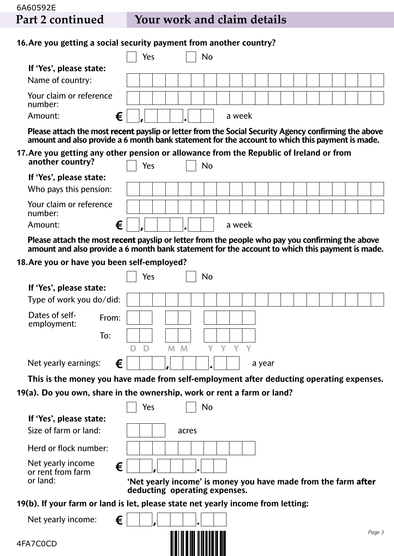6A60592E<br>Part 2 continued

# **Part 2 continued Your work and claim details**

|                                             | 16. Are you getting a social security payment from another country?                                                                                                                                     |
|---------------------------------------------|---------------------------------------------------------------------------------------------------------------------------------------------------------------------------------------------------------|
|                                             | Yes<br><b>No</b>                                                                                                                                                                                        |
| If 'Yes', please state:                     |                                                                                                                                                                                                         |
| Name of country:                            |                                                                                                                                                                                                         |
| Your claim or reference<br>number:          |                                                                                                                                                                                                         |
| Amount:                                     | €<br>a week                                                                                                                                                                                             |
|                                             | Please attach the most recent payslip or letter from the Social Security Agency confirming the above<br>amount and also provide a 6 month bank statement for the account to which this payment is made. |
| another country?                            | 17. Are you getting any other pension or allowance from the Republic of Ireland or from<br>Yes<br><b>No</b>                                                                                             |
| If 'Yes', please state:                     |                                                                                                                                                                                                         |
| Who pays this pension:                      |                                                                                                                                                                                                         |
| Your claim or reference<br>number:          |                                                                                                                                                                                                         |
| Amount:                                     | €<br>a week                                                                                                                                                                                             |
|                                             | Please attach the most recent payslip or letter from the people who pay you confirming the above<br>amount and also provide a 6 month bank statement for the account to which this payment is made.     |
| 18. Are you or have you been self-employed? |                                                                                                                                                                                                         |
|                                             | Yes<br>No                                                                                                                                                                                               |
| If 'Yes', please state:                     |                                                                                                                                                                                                         |
| Type of work you do/did:                    |                                                                                                                                                                                                         |
| Dates of self-<br>From:<br>employment:      |                                                                                                                                                                                                         |
| To:                                         |                                                                                                                                                                                                         |
|                                             | Y Y Y Y<br>M M<br>D D                                                                                                                                                                                   |
| Net yearly earnings:                        | €<br>a year                                                                                                                                                                                             |
|                                             | This is the money you have made from self-employment after deducting operating expenses.                                                                                                                |
|                                             | 19(a). Do you own, share in the ownership, work or rent a farm or land?                                                                                                                                 |
|                                             | Yes<br>No                                                                                                                                                                                               |
| If 'Yes', please state:                     |                                                                                                                                                                                                         |
| Size of farm or land:                       | acres                                                                                                                                                                                                   |
| Herd or flock number:                       |                                                                                                                                                                                                         |
| Net yearly income<br>or rent from farm      | €                                                                                                                                                                                                       |
| or land:                                    | 'Net yearly income' is money you have made from the farm after<br>deducting operating expenses.                                                                                                         |
|                                             | 19(b). If your farm or land is let, please state net yearly income from letting:                                                                                                                        |
| Net yearly income:                          | €                                                                                                                                                                                                       |
| 4FA7C0CD                                    | Page 3                                                                                                                                                                                                  |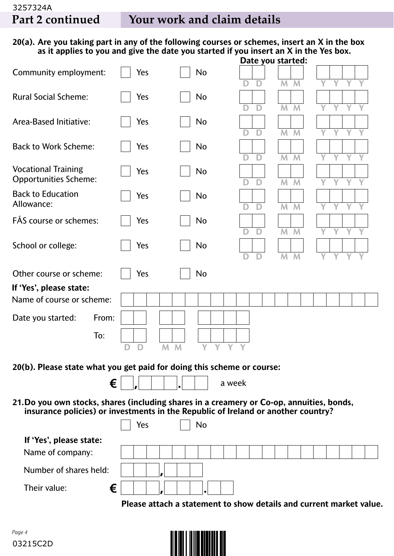20(a). Are you taking part in any of the following courses or schemes, insert an X in the box as it applies to you and give the date you started if you insert an X in the Yes box.

|                                                                                                                                                                                     |        |                  |        | Date you started: |             |
|-------------------------------------------------------------------------------------------------------------------------------------------------------------------------------------|--------|------------------|--------|-------------------|-------------|
| Community employment:                                                                                                                                                               | Yes    | No               |        |                   |             |
| <b>Rural Social Scheme:</b>                                                                                                                                                         | Yes    | No               | D<br>D | M<br>M            |             |
|                                                                                                                                                                                     |        |                  | D<br>D | M<br>M            |             |
| Area-Based Initiative:                                                                                                                                                              | Yes    | No               |        |                   |             |
|                                                                                                                                                                                     |        |                  | D<br>D | M<br>M            | Υ<br>Υ<br>v |
| <b>Back to Work Scheme:</b>                                                                                                                                                         | Yes    | No               | D<br>D | M<br>M            |             |
| <b>Vocational Training</b><br><b>Opportunities Scheme:</b>                                                                                                                          | Yes    | No               | D<br>D | M<br>M            | Y<br>Y      |
| <b>Back to Education</b><br>Allowance:                                                                                                                                              | Yes    | No               | D<br>D | M<br>M            | Y           |
| FÁS course or schemes:                                                                                                                                                              | Yes    | No               |        |                   |             |
|                                                                                                                                                                                     |        |                  | D<br>D | M<br>M            | Y           |
| School or college:                                                                                                                                                                  | Yes    | No               | D<br>D |                   | Υ           |
| If 'Yes', please state:<br>Name of course or scheme:<br>From:<br>Date you started:<br>To:                                                                                           |        |                  |        |                   |             |
| 20(b). Please state what you get paid for doing this scheme or course:                                                                                                              | D<br>D | M<br>Y<br>Y<br>M | Y<br>Υ |                   |             |
| €<br>21. Do you own stocks, shares (including shares in a creamery or Co-op, annuities, bonds,<br>insurance policies) or investments in the Republic of Ireland or another country? |        |                  | a week |                   |             |
|                                                                                                                                                                                     | Yes    | No               |        |                   |             |
| If 'Yes', please state:<br>Name of company:                                                                                                                                         |        |                  |        |                   |             |
| Number of shares held:                                                                                                                                                              |        |                  |        |                   |             |
| Their value:<br>€                                                                                                                                                                   |        |                  |        |                   |             |
|                                                                                                                                                                                     |        |                  |        |                   |             |

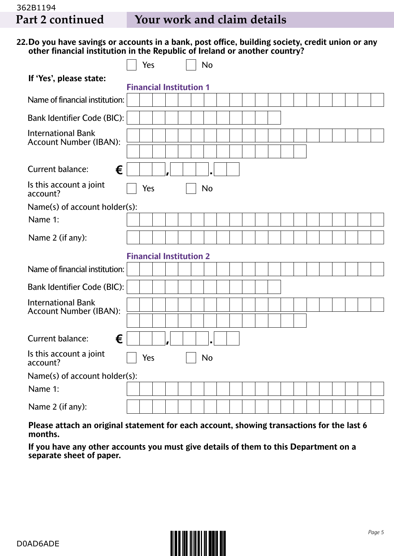**22.Do you have savings or accounts in a bank, post office, building society, credit union or any other financial institution in the Republic of Ireland or another country?**

|                                                            | Yes                            |  | <b>No</b> |  |  |  |  |  |  |  |
|------------------------------------------------------------|--------------------------------|--|-----------|--|--|--|--|--|--|--|
| If 'Yes', please state:                                    |                                |  |           |  |  |  |  |  |  |  |
|                                                            | <b>Financial Institution 1</b> |  |           |  |  |  |  |  |  |  |
| Name of financial institution:                             |                                |  |           |  |  |  |  |  |  |  |
| <b>Bank Identifier Code (BIC):</b>                         |                                |  |           |  |  |  |  |  |  |  |
| <b>International Bank</b><br><b>Account Number (IBAN):</b> |                                |  |           |  |  |  |  |  |  |  |
|                                                            |                                |  |           |  |  |  |  |  |  |  |
| €<br>Current balance:                                      |                                |  |           |  |  |  |  |  |  |  |
| Is this account a joint<br>account?                        | Yes                            |  | <b>No</b> |  |  |  |  |  |  |  |
| Name(s) of account holder(s):                              |                                |  |           |  |  |  |  |  |  |  |
| Name 1:                                                    |                                |  |           |  |  |  |  |  |  |  |
| Name 2 (if any):                                           |                                |  |           |  |  |  |  |  |  |  |
|                                                            | <b>Financial Institution 2</b> |  |           |  |  |  |  |  |  |  |
| Name of financial institution:                             |                                |  |           |  |  |  |  |  |  |  |
| <b>Bank Identifier Code (BIC):</b>                         |                                |  |           |  |  |  |  |  |  |  |
| <b>International Bank</b>                                  |                                |  |           |  |  |  |  |  |  |  |
| <b>Account Number (IBAN):</b>                              |                                |  |           |  |  |  |  |  |  |  |
| €<br>Current balance:                                      |                                |  |           |  |  |  |  |  |  |  |
| Is this account a joint<br>account?                        | Yes                            |  | <b>No</b> |  |  |  |  |  |  |  |
| Name(s) of account holder(s):                              |                                |  |           |  |  |  |  |  |  |  |
| Name 1:                                                    |                                |  |           |  |  |  |  |  |  |  |
| Name 2 (if any):                                           |                                |  |           |  |  |  |  |  |  |  |

**Please attach an original statement for each account, showing transactions for the last 6 months.**

**If you have any other accounts you must give details of them to this Department on a separate sheet of paper.**

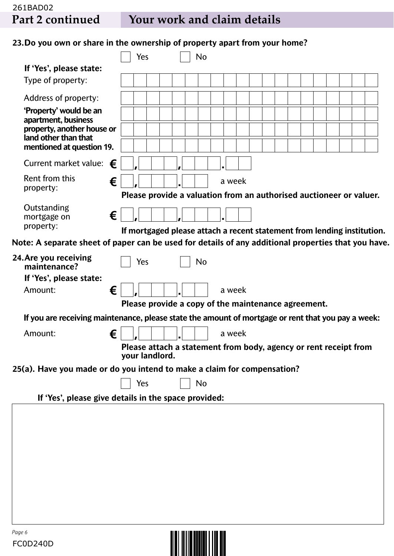261BAD02<br>Part 2 continued

| 23. Do you own or share in the ownership of property apart from your home?                          |   |                                                                                    |  |  |    |        |  |  |  |  |  |                                                                         |
|-----------------------------------------------------------------------------------------------------|---|------------------------------------------------------------------------------------|--|--|----|--------|--|--|--|--|--|-------------------------------------------------------------------------|
|                                                                                                     |   | Yes                                                                                |  |  | No |        |  |  |  |  |  |                                                                         |
| If 'Yes', please state:                                                                             |   |                                                                                    |  |  |    |        |  |  |  |  |  |                                                                         |
| Type of property:                                                                                   |   |                                                                                    |  |  |    |        |  |  |  |  |  |                                                                         |
| Address of property:                                                                                |   |                                                                                    |  |  |    |        |  |  |  |  |  |                                                                         |
| 'Property' would be an<br>apartment, business                                                       |   |                                                                                    |  |  |    |        |  |  |  |  |  |                                                                         |
| property, another house or<br>land other than that<br>mentioned at question 19.                     |   |                                                                                    |  |  |    |        |  |  |  |  |  |                                                                         |
| Current market value: $\epsilon$                                                                    |   |                                                                                    |  |  |    |        |  |  |  |  |  |                                                                         |
| Rent from this<br>property:                                                                         | € |                                                                                    |  |  |    | a week |  |  |  |  |  |                                                                         |
| Outstanding                                                                                         |   | Please provide a valuation from an authorised auctioneer or valuer.                |  |  |    |        |  |  |  |  |  |                                                                         |
| mortgage on<br>property:                                                                            | € |                                                                                    |  |  |    |        |  |  |  |  |  |                                                                         |
| Note: A separate sheet of paper can be used for details of any additional properties that you have. |   |                                                                                    |  |  |    |        |  |  |  |  |  | If mortgaged please attach a recent statement from lending institution. |
|                                                                                                     |   |                                                                                    |  |  |    |        |  |  |  |  |  |                                                                         |
| 24. Are you receiving<br>maintenance?                                                               |   | Yes                                                                                |  |  | No |        |  |  |  |  |  |                                                                         |
| If 'Yes', please state:                                                                             |   |                                                                                    |  |  |    |        |  |  |  |  |  |                                                                         |
| Amount:                                                                                             | € |                                                                                    |  |  |    | a week |  |  |  |  |  |                                                                         |
|                                                                                                     |   | Please provide a copy of the maintenance agreement.                                |  |  |    |        |  |  |  |  |  |                                                                         |
| If you are receiving maintenance, please state the amount of mortgage or rent that you pay a week:  |   |                                                                                    |  |  |    |        |  |  |  |  |  |                                                                         |
| Amount:                                                                                             | € |                                                                                    |  |  |    | a week |  |  |  |  |  |                                                                         |
|                                                                                                     |   | Please attach a statement from body, agency or rent receipt from<br>your landlord. |  |  |    |        |  |  |  |  |  |                                                                         |
| 25(a). Have you made or do you intend to make a claim for compensation?                             |   |                                                                                    |  |  |    |        |  |  |  |  |  |                                                                         |
|                                                                                                     |   | Yes                                                                                |  |  | No |        |  |  |  |  |  |                                                                         |
| If 'Yes', please give details in the space provided:                                                |   |                                                                                    |  |  |    |        |  |  |  |  |  |                                                                         |
|                                                                                                     |   |                                                                                    |  |  |    |        |  |  |  |  |  |                                                                         |
|                                                                                                     |   |                                                                                    |  |  |    |        |  |  |  |  |  |                                                                         |
|                                                                                                     |   |                                                                                    |  |  |    |        |  |  |  |  |  |                                                                         |
|                                                                                                     |   |                                                                                    |  |  |    |        |  |  |  |  |  |                                                                         |
|                                                                                                     |   |                                                                                    |  |  |    |        |  |  |  |  |  |                                                                         |
|                                                                                                     |   |                                                                                    |  |  |    |        |  |  |  |  |  |                                                                         |
|                                                                                                     |   |                                                                                    |  |  |    |        |  |  |  |  |  |                                                                         |
|                                                                                                     |   |                                                                                    |  |  |    |        |  |  |  |  |  |                                                                         |
|                                                                                                     |   |                                                                                    |  |  |    |        |  |  |  |  |  |                                                                         |

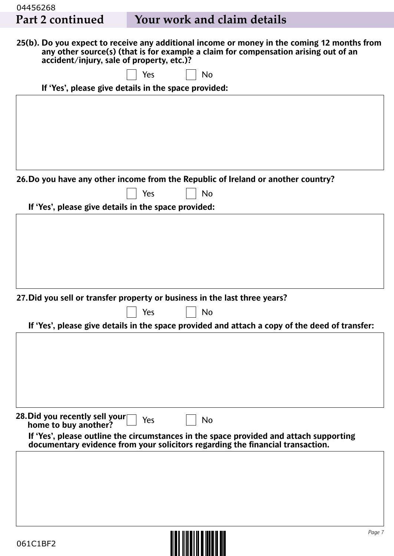| 04456268 |
|----------|
|----------|

**25(b). Do you expect to receive any additional income or money in the coming 12 months from any other source(s) (that is for example a claim for compensation arising out of an accident/injury, sale of property, etc.)?**

| accident/injury, sale of property, etc.)?                                                      |        |
|------------------------------------------------------------------------------------------------|--------|
| Yes<br>No                                                                                      |        |
| If 'Yes', please give details in the space provided:                                           |        |
|                                                                                                |        |
|                                                                                                |        |
|                                                                                                |        |
|                                                                                                |        |
|                                                                                                |        |
|                                                                                                |        |
| 26. Do you have any other income from the Republic of Ireland or another country?              |        |
| Yes<br>No                                                                                      |        |
| If 'Yes', please give details in the space provided:                                           |        |
|                                                                                                |        |
|                                                                                                |        |
|                                                                                                |        |
|                                                                                                |        |
|                                                                                                |        |
|                                                                                                |        |
| 27. Did you sell or transfer property or business in the last three years?                     |        |
| No<br>Yes                                                                                      |        |
| If 'Yes', please give details in the space provided and attach a copy of the deed of transfer: |        |
|                                                                                                |        |
|                                                                                                |        |
|                                                                                                |        |
|                                                                                                |        |
|                                                                                                |        |
|                                                                                                |        |
| 28. Did you recently sell your<br><b>No</b><br>Yes<br>home to buy another?                     |        |
| If 'Yes', please outline the circumstances in the space provided and attach supporting         |        |
| documentary evidence from your solicitors regarding the financial transaction.                 |        |
|                                                                                                |        |
|                                                                                                |        |
|                                                                                                |        |
|                                                                                                |        |
|                                                                                                |        |
|                                                                                                |        |
| <b><i>MAL HIRLIE RIBRIER</i></b>                                                               | Page 7 |

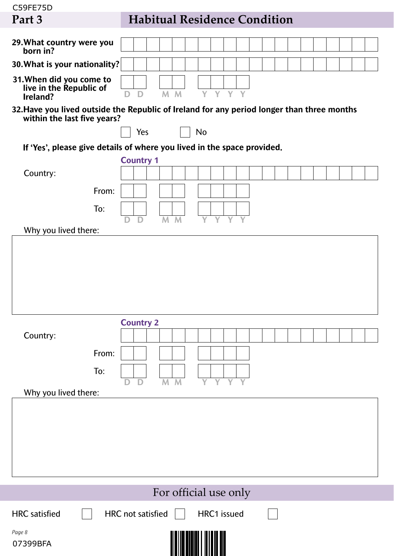# C59FE75D<br>Part 3

# **Habitual Residence Condition**

| 29. What country were you<br>born in?                                                                                     |                   |                |                       |  |  |  |  |
|---------------------------------------------------------------------------------------------------------------------------|-------------------|----------------|-----------------------|--|--|--|--|
| 30. What is your nationality?                                                                                             |                   |                |                       |  |  |  |  |
| 31. When did you come to<br>live in the Republic of<br>Ireland?                                                           | $\mathsf{D}$<br>D | M M            | Y Y Y Y               |  |  |  |  |
| 32. Have you lived outside the Republic of Ireland for any period longer than three months<br>within the last five years? |                   |                |                       |  |  |  |  |
|                                                                                                                           | Yes               |                | <b>No</b>             |  |  |  |  |
| If 'Yes', please give details of where you lived in the space provided.                                                   |                   |                |                       |  |  |  |  |
|                                                                                                                           | <b>Country 1</b>  |                |                       |  |  |  |  |
| Country:                                                                                                                  |                   |                |                       |  |  |  |  |
| From:                                                                                                                     |                   |                |                       |  |  |  |  |
| To:                                                                                                                       |                   |                |                       |  |  |  |  |
| Why you lived there:                                                                                                      | D<br>D            | <b>M</b><br>M. | v                     |  |  |  |  |
|                                                                                                                           |                   |                |                       |  |  |  |  |
|                                                                                                                           |                   |                |                       |  |  |  |  |
|                                                                                                                           |                   |                |                       |  |  |  |  |
|                                                                                                                           |                   |                |                       |  |  |  |  |
|                                                                                                                           |                   |                |                       |  |  |  |  |
|                                                                                                                           | <b>Country 2</b>  |                |                       |  |  |  |  |
| Country:                                                                                                                  |                   |                |                       |  |  |  |  |
| From:                                                                                                                     |                   |                |                       |  |  |  |  |
| To:                                                                                                                       |                   |                |                       |  |  |  |  |
|                                                                                                                           | D                 | M<br>M         |                       |  |  |  |  |
| Why you lived there:                                                                                                      |                   |                |                       |  |  |  |  |
|                                                                                                                           |                   |                |                       |  |  |  |  |
|                                                                                                                           |                   |                |                       |  |  |  |  |
|                                                                                                                           |                   |                |                       |  |  |  |  |
|                                                                                                                           |                   |                |                       |  |  |  |  |
|                                                                                                                           |                   |                |                       |  |  |  |  |
|                                                                                                                           |                   |                | For official use only |  |  |  |  |
| <b>HRC</b> satisfied                                                                                                      | HRC not satisfied |                | HRC1 issued           |  |  |  |  |
| Page 8                                                                                                                    |                   |                |                       |  |  |  |  |
| 07399BFA                                                                                                                  |                   |                |                       |  |  |  |  |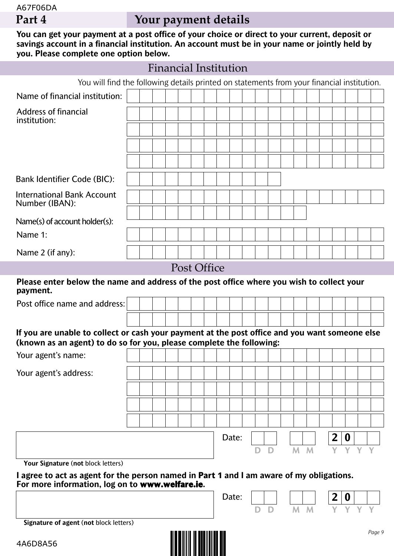### A67F06DA

# **Part 4 Your payment details**

You can get your payment at a post office of your choice or direct to your current, deposit or **savings account in a financial institution. An account must be in your name or jointly held by you. Please complete one option below.**

|                                                                                                                                                                        |  |  |                    |  | <b>Financial Institution</b> |  |   |     |   |              |                  |   |        |
|------------------------------------------------------------------------------------------------------------------------------------------------------------------------|--|--|--------------------|--|------------------------------|--|---|-----|---|--------------|------------------|---|--------|
| You will find the following details printed on statements from your financial institution.                                                                             |  |  |                    |  |                              |  |   |     |   |              |                  |   |        |
| Name of financial institution:                                                                                                                                         |  |  |                    |  |                              |  |   |     |   |              |                  |   |        |
| <b>Address of financial</b>                                                                                                                                            |  |  |                    |  |                              |  |   |     |   |              |                  |   |        |
| institution:                                                                                                                                                           |  |  |                    |  |                              |  |   |     |   |              |                  |   |        |
|                                                                                                                                                                        |  |  |                    |  |                              |  |   |     |   |              |                  |   |        |
|                                                                                                                                                                        |  |  |                    |  |                              |  |   |     |   |              |                  |   |        |
| <b>Bank Identifier Code (BIC):</b>                                                                                                                                     |  |  |                    |  |                              |  |   |     |   |              |                  |   |        |
| <b>International Bank Account</b><br>Number (IBAN):                                                                                                                    |  |  |                    |  |                              |  |   |     |   |              |                  |   |        |
| Name(s) of account holder(s):                                                                                                                                          |  |  |                    |  |                              |  |   |     |   |              |                  |   |        |
| Name 1:                                                                                                                                                                |  |  |                    |  |                              |  |   |     |   |              |                  |   |        |
| Name 2 (if any):                                                                                                                                                       |  |  |                    |  |                              |  |   |     |   |              |                  |   |        |
|                                                                                                                                                                        |  |  | <b>Post Office</b> |  |                              |  |   |     |   |              |                  |   |        |
| Please enter below the name and address of the post office where you wish to collect your<br>payment.                                                                  |  |  |                    |  |                              |  |   |     |   |              |                  |   |        |
| Post office name and address:                                                                                                                                          |  |  |                    |  |                              |  |   |     |   |              |                  |   |        |
|                                                                                                                                                                        |  |  |                    |  |                              |  |   |     |   |              |                  |   |        |
| If you are unable to collect or cash your payment at the post office and you want someone else<br>(known as an agent) to do so for you, please complete the following: |  |  |                    |  |                              |  |   |     |   |              |                  |   |        |
| Your agent's name:                                                                                                                                                     |  |  |                    |  |                              |  |   |     |   |              |                  |   |        |
| Your agent's address:                                                                                                                                                  |  |  |                    |  |                              |  |   |     |   |              |                  |   |        |
|                                                                                                                                                                        |  |  |                    |  |                              |  |   |     |   |              |                  |   |        |
|                                                                                                                                                                        |  |  |                    |  |                              |  |   |     |   |              |                  |   |        |
|                                                                                                                                                                        |  |  |                    |  |                              |  |   |     |   |              |                  |   |        |
|                                                                                                                                                                        |  |  |                    |  | Date:                        |  |   |     |   | $\mathbf{2}$ | $\boldsymbol{0}$ |   |        |
|                                                                                                                                                                        |  |  |                    |  |                              |  | D | M M |   |              | Y                | Y |        |
| Your Signature (not block letters)                                                                                                                                     |  |  |                    |  |                              |  |   |     |   |              |                  |   |        |
| I agree to act as agent for the person named in Part 1 and I am aware of my obligations.<br>For more information, log on to www.welfare.ie.                            |  |  |                    |  |                              |  |   |     |   |              |                  |   |        |
|                                                                                                                                                                        |  |  |                    |  | Date:                        |  |   |     |   | $\mathbf{Z}$ | O                |   |        |
| Signature of agent (not block letters)                                                                                                                                 |  |  |                    |  |                              |  | D | M   | M |              |                  |   |        |
|                                                                                                                                                                        |  |  |                    |  |                              |  |   |     |   |              |                  |   | Page 9 |

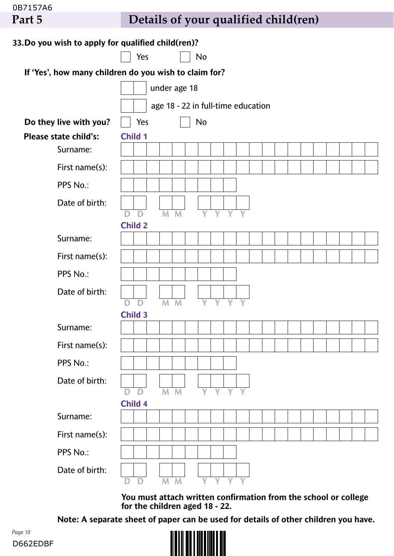0B7157A6

# **Part 5 Details of your qualified child(ren)**

# **33.Do you wish to apply for qualified child(ren)?**

|                                                       |                | Yes          |                |   |              | No                                 |                |   |   |  |  |  |  |  |
|-------------------------------------------------------|----------------|--------------|----------------|---|--------------|------------------------------------|----------------|---|---|--|--|--|--|--|
| If 'Yes', how many children do you wish to claim for? |                |              |                |   |              |                                    |                |   |   |  |  |  |  |  |
|                                                       |                |              |                |   | under age 18 |                                    |                |   |   |  |  |  |  |  |
|                                                       |                |              |                |   |              | age 18 - 22 in full-time education |                |   |   |  |  |  |  |  |
| Do they live with you?                                |                | Yes          |                |   |              | <b>No</b>                          |                |   |   |  |  |  |  |  |
| <b>Please state child's:</b>                          | <b>Child 1</b> |              |                |   |              |                                    |                |   |   |  |  |  |  |  |
| Surname:                                              |                |              |                |   |              |                                    |                |   |   |  |  |  |  |  |
| First name(s):                                        |                |              |                |   |              |                                    |                |   |   |  |  |  |  |  |
| PPS No.:                                              |                |              |                |   |              |                                    |                |   |   |  |  |  |  |  |
|                                                       |                |              |                |   |              |                                    |                |   |   |  |  |  |  |  |
| Date of birth:                                        | D              | D            | M M            |   |              | Y                                  | Y              |   |   |  |  |  |  |  |
|                                                       | <b>Child 2</b> |              |                |   |              |                                    |                |   |   |  |  |  |  |  |
| Surname:                                              |                |              |                |   |              |                                    |                |   |   |  |  |  |  |  |
| First name(s):                                        |                |              |                |   |              |                                    |                |   |   |  |  |  |  |  |
| PPS No.:                                              |                |              |                |   |              |                                    |                |   |   |  |  |  |  |  |
| Date of birth:                                        |                |              |                |   |              |                                    |                |   |   |  |  |  |  |  |
|                                                       | D              | D            | $\overline{M}$ | M |              | Ÿ                                  | $\overline{Y}$ | Ÿ | Ÿ |  |  |  |  |  |
|                                                       | <b>Child 3</b> |              |                |   |              |                                    |                |   |   |  |  |  |  |  |
| Surname:                                              |                |              |                |   |              |                                    |                |   |   |  |  |  |  |  |
| First name(s):                                        |                |              |                |   |              |                                    |                |   |   |  |  |  |  |  |
| PPS No.:                                              |                |              |                |   |              |                                    |                |   |   |  |  |  |  |  |
| Date of birth:                                        |                |              |                |   |              |                                    |                |   |   |  |  |  |  |  |
|                                                       | D              | D            | M M            |   |              | Y                                  | Ÿ              | Ÿ |   |  |  |  |  |  |
|                                                       | Child 4        |              |                |   |              |                                    |                |   |   |  |  |  |  |  |
| Surname:                                              |                |              |                |   |              |                                    |                |   |   |  |  |  |  |  |
| First name(s):                                        |                |              |                |   |              |                                    |                |   |   |  |  |  |  |  |
| PPS No.:                                              |                |              |                |   |              |                                    |                |   |   |  |  |  |  |  |
| Date of birth:                                        |                |              |                |   |              |                                    |                |   |   |  |  |  |  |  |
|                                                       | D              | $\mathsf{D}$ | M M            |   |              |                                    |                |   |   |  |  |  |  |  |

**You must attach written confirmation from the school or college for the children aged 18 - 22.**

**Note: A separate sheet of paper can be used for details of other children you have.**

*Page 10* D662EDBF

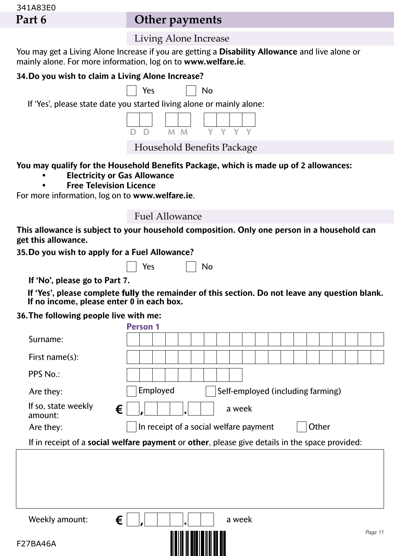# 341A83E0

# **Part 6 Other payments**

# Living Alone Increase

You may get a Living Alone Increase if you are getting a **Disability Allowance** and live alone or mainly alone. For more information, log on to **www.welfare.ie**.

# **34.Do you wish to claim a Living Alone Increase?**

 $Yes \t | No$ 

If 'Yes', please state date you started living alone or mainly alone:



Household Benefits Package

**You may qualify for the Household Benefits Package, which is made up of 2 allowances:**

- **• Electricity or Gas Allowance**
- **• Free Television Licence**

For more information, log on to **www.welfare.ie**.

Fuel Allowance

**This allowance is subject to your household composition. Only one person in a household can get this allowance.**

**35.Do you wish to apply for a Fuel Allowance?**

|  | ______ |  |
|--|--------|--|
|  |        |  |
|  |        |  |
|  |        |  |
|  |        |  |
|  |        |  |
|  |        |  |

| No<br>Yes. |
|------------|
|------------|

**If 'No', please go to Part 7.**

**If 'Yes', please complete fully the remainder of this section. Do not leave any question blank. If no income, please enter 0 in each box.**

## **36.The following people live with me:**

|                                | <b>Person 1</b>                                                                                               |
|--------------------------------|---------------------------------------------------------------------------------------------------------------|
| Surname:                       |                                                                                                               |
| First name(s):                 |                                                                                                               |
| PPS No.:                       |                                                                                                               |
| Are they:                      | Employed<br>Self-employed (including farming)                                                                 |
| If so, state weekly<br>amount: | €<br>a week                                                                                                   |
| Are they:                      | In receipt of a social welfare payment<br>Other                                                               |
|                                | If in receipt of a <b>social welfare payment</b> or <b>other</b> , please give details in the space provided: |
|                                |                                                                                                               |
|                                |                                                                                                               |
|                                |                                                                                                               |
|                                |                                                                                                               |
| Weekly amount:                 | €<br>a week                                                                                                   |
|                                | Page 11                                                                                                       |
| <b>F27BA46A</b>                |                                                                                                               |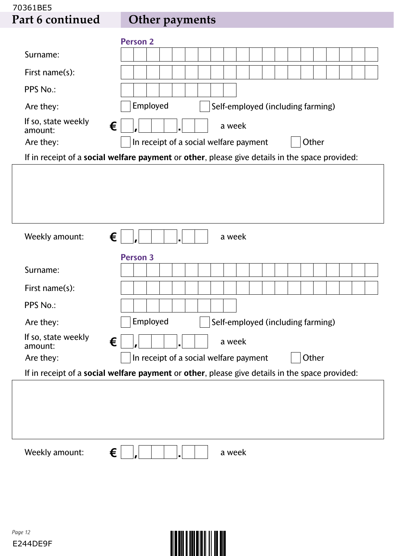| 70361BE5         |                 |  |  |  |  |  |  |
|------------------|-----------------|--|--|--|--|--|--|
| Part 6 continued | Other payments  |  |  |  |  |  |  |
|                  | <b>Person 2</b> |  |  |  |  |  |  |
| Surname:         |                 |  |  |  |  |  |  |

| Surname:                                    |                                                                                                |  |
|---------------------------------------------|------------------------------------------------------------------------------------------------|--|
| First name(s):                              |                                                                                                |  |
| PPS No.:                                    |                                                                                                |  |
| Are they:                                   | Employed<br>Self-employed (including farming)                                                  |  |
| If so, state weekly<br>amount:<br>Are they: | €<br>a week<br>In receipt of a social welfare payment<br>Other                                 |  |
|                                             | If in receipt of a social welfare payment or other, please give details in the space provided: |  |
|                                             |                                                                                                |  |
|                                             |                                                                                                |  |
|                                             |                                                                                                |  |
|                                             |                                                                                                |  |
| Weekly amount:                              | €<br>a week                                                                                    |  |
|                                             | <b>Person 3</b>                                                                                |  |
| Surname:                                    |                                                                                                |  |
| First name(s):                              |                                                                                                |  |
| PPS No.:                                    |                                                                                                |  |
| Are they:                                   | Employed<br>Self-employed (including farming)                                                  |  |
| If so, state weekly<br>amount:              | €<br>a week                                                                                    |  |
| Are they:                                   | In receipt of a social welfare payment<br>Other                                                |  |
|                                             | If in receipt of a social welfare payment or other, please give details in the space provided: |  |
|                                             |                                                                                                |  |
|                                             |                                                                                                |  |
|                                             |                                                                                                |  |
|                                             |                                                                                                |  |

Weekly amount:

**€ , .** <sup>a</sup> week

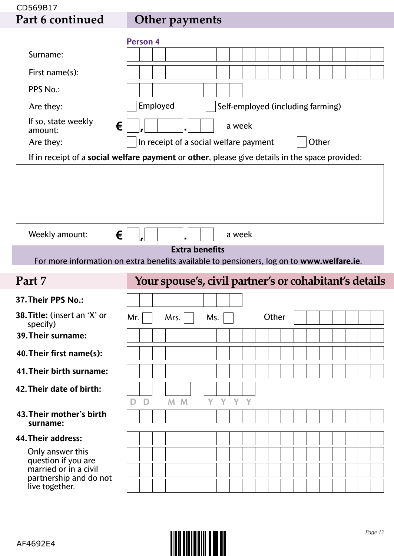# CD569B17<br>Part 6 continued

# **Other** payments

|                                                                                                                                               | <b>Person 4</b> |                                        |      |     |                       |     |        |  |                                   |  |       |  |                                                        |
|-----------------------------------------------------------------------------------------------------------------------------------------------|-----------------|----------------------------------------|------|-----|-----------------------|-----|--------|--|-----------------------------------|--|-------|--|--------------------------------------------------------|
| Surname:                                                                                                                                      |                 |                                        |      |     |                       |     |        |  |                                   |  |       |  |                                                        |
| First name(s):                                                                                                                                |                 |                                        |      |     |                       |     |        |  |                                   |  |       |  |                                                        |
| PPS No.:                                                                                                                                      |                 |                                        |      |     |                       |     |        |  |                                   |  |       |  |                                                        |
| Are they:                                                                                                                                     |                 | Employed                               |      |     |                       |     |        |  | Self-employed (including farming) |  |       |  |                                                        |
| If so, state weekly<br>€<br>amount:<br>Are they:                                                                                              |                 | In receipt of a social welfare payment |      |     |                       |     | a week |  |                                   |  | Other |  |                                                        |
| If in receipt of a <b>social welfare payment</b> or <b>other</b> , please give details in the space provided:                                 |                 |                                        |      |     |                       |     |        |  |                                   |  |       |  |                                                        |
|                                                                                                                                               |                 |                                        |      |     |                       |     |        |  |                                   |  |       |  |                                                        |
| €<br>Weekly amount:                                                                                                                           |                 |                                        |      |     |                       |     | a week |  |                                   |  |       |  |                                                        |
|                                                                                                                                               |                 |                                        |      |     | <b>Extra benefits</b> |     |        |  |                                   |  |       |  |                                                        |
| For more information on extra benefits available to pensioners, log on to www.welfare.ie.                                                     |                 |                                        |      |     |                       |     |        |  |                                   |  |       |  |                                                        |
|                                                                                                                                               |                 |                                        |      |     |                       |     |        |  |                                   |  |       |  | Your spouse's, civil partner's or cohabitant's details |
| Part 7<br>37. Their PPS No.:                                                                                                                  |                 |                                        |      |     |                       |     |        |  |                                   |  |       |  |                                                        |
| specify)                                                                                                                                      | Mr.             |                                        | Mrs. |     |                       | Ms. |        |  | Other                             |  |       |  |                                                        |
|                                                                                                                                               |                 |                                        |      |     |                       |     |        |  |                                   |  |       |  |                                                        |
|                                                                                                                                               |                 |                                        |      |     |                       |     |        |  |                                   |  |       |  |                                                        |
|                                                                                                                                               |                 |                                        |      |     |                       |     |        |  |                                   |  |       |  |                                                        |
| <b>38. Title:</b> (insert an 'X' or<br>39. Their surname:<br>40. Their first name(s):<br>41. Their birth surname:<br>42. Their date of birth: |                 |                                        |      |     |                       |     |        |  |                                   |  |       |  |                                                        |
|                                                                                                                                               | D               | D                                      |      | M M |                       | Y   | Y Y Y  |  |                                   |  |       |  |                                                        |
| 43. Their mother's birth<br>surname:                                                                                                          |                 |                                        |      |     |                       |     |        |  |                                   |  |       |  |                                                        |
|                                                                                                                                               |                 |                                        |      |     |                       |     |        |  |                                   |  |       |  |                                                        |
| 44. Their address:<br>Only answer this                                                                                                        |                 |                                        |      |     |                       |     |        |  |                                   |  |       |  |                                                        |
| question if you are<br>married or in a civil<br>partnership and do not                                                                        |                 |                                        |      |     |                       |     |        |  |                                   |  |       |  |                                                        |

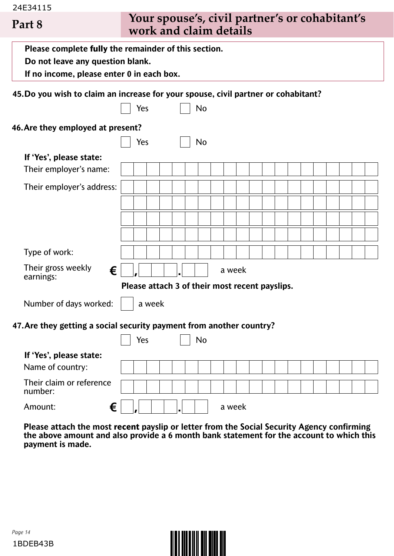| 24E34115                                                                           |                                                |        |                                                                          |           |        |  |  |  |  |  |  |
|------------------------------------------------------------------------------------|------------------------------------------------|--------|--------------------------------------------------------------------------|-----------|--------|--|--|--|--|--|--|
| Part 8                                                                             |                                                |        | Your spouse's, civil partner's or cohabitant's<br>work and claim details |           |        |  |  |  |  |  |  |
| Please complete fully the remainder of this section.                               |                                                |        |                                                                          |           |        |  |  |  |  |  |  |
| Do not leave any question blank.                                                   |                                                |        |                                                                          |           |        |  |  |  |  |  |  |
| If no income, please enter 0 in each box.                                          |                                                |        |                                                                          |           |        |  |  |  |  |  |  |
|                                                                                    |                                                |        |                                                                          |           |        |  |  |  |  |  |  |
| 45. Do you wish to claim an increase for your spouse, civil partner or cohabitant? |                                                |        |                                                                          |           |        |  |  |  |  |  |  |
|                                                                                    | Yes                                            |        |                                                                          | No        |        |  |  |  |  |  |  |
| 46. Are they employed at present?                                                  |                                                |        |                                                                          |           |        |  |  |  |  |  |  |
|                                                                                    | Yes                                            |        |                                                                          | No        |        |  |  |  |  |  |  |
| If 'Yes', please state:                                                            |                                                |        |                                                                          |           |        |  |  |  |  |  |  |
| Their employer's name:                                                             |                                                |        |                                                                          |           |        |  |  |  |  |  |  |
|                                                                                    |                                                |        |                                                                          |           |        |  |  |  |  |  |  |
| Their employer's address:                                                          |                                                |        |                                                                          |           |        |  |  |  |  |  |  |
|                                                                                    |                                                |        |                                                                          |           |        |  |  |  |  |  |  |
|                                                                                    |                                                |        |                                                                          |           |        |  |  |  |  |  |  |
|                                                                                    |                                                |        |                                                                          |           |        |  |  |  |  |  |  |
|                                                                                    |                                                |        |                                                                          |           |        |  |  |  |  |  |  |
| Type of work:                                                                      |                                                |        |                                                                          |           |        |  |  |  |  |  |  |
| Their gross weekly<br>earnings:                                                    | €                                              |        |                                                                          |           | a week |  |  |  |  |  |  |
|                                                                                    | Please attach 3 of their most recent payslips. |        |                                                                          |           |        |  |  |  |  |  |  |
| Number of days worked:                                                             |                                                | a week |                                                                          |           |        |  |  |  |  |  |  |
| 47. Are they getting a social security payment from another country?               |                                                |        |                                                                          |           |        |  |  |  |  |  |  |
|                                                                                    | Yes                                            |        |                                                                          | <b>No</b> |        |  |  |  |  |  |  |
| If 'Yes', please state:                                                            |                                                |        |                                                                          |           |        |  |  |  |  |  |  |
| Name of country:                                                                   |                                                |        |                                                                          |           |        |  |  |  |  |  |  |
| Their claim or reference<br>number:                                                |                                                |        |                                                                          |           |        |  |  |  |  |  |  |
| Amount:                                                                            | €                                              |        |                                                                          |           | a week |  |  |  |  |  |  |

**Please attach the most recent payslip or letter from the Social Security Agency confirming the above amount and also provide a 6 month bank statement for the account to which this payment is made.**

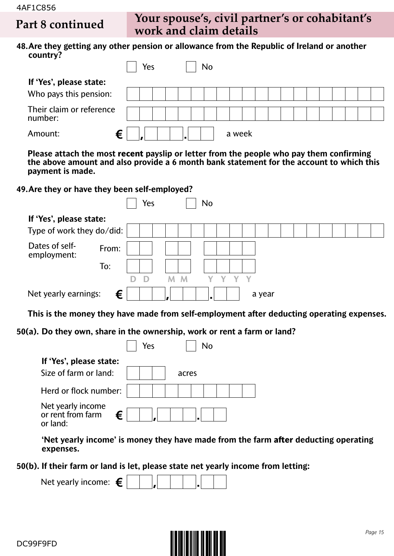# **Part <sup>8</sup> continued Your spouse's, civil partner's or cohabitant's work and claim details**

| country? |                      | 48. Are they getting any other pension or allowance from the Republic of Ireland or another |
|----------|----------------------|---------------------------------------------------------------------------------------------|
|          | $\Box$ Yes $\Box$ No |                                                                                             |

| If 'Yes', please state:             |  |  |        |  |  |  |  |  |
|-------------------------------------|--|--|--------|--|--|--|--|--|
| Who pays this pension:              |  |  |        |  |  |  |  |  |
| Their claim or reference<br>number: |  |  |        |  |  |  |  |  |
| Amount:                             |  |  | a week |  |  |  |  |  |

**Please attach the most recent payslip or letter from the people who pay them confirming the above amount and also provide a 6 month bank statement for the account to which this payment is made.**

### **49.Are they or have they been self-employed?**

|                                |       | Yes |   |   | No                                                                                                                   |  |        |  |  |               |  |  |
|--------------------------------|-------|-----|---|---|----------------------------------------------------------------------------------------------------------------------|--|--------|--|--|---------------|--|--|
| If 'Yes', please state:        |       |     |   |   |                                                                                                                      |  |        |  |  |               |  |  |
| Type of work they do/did:      |       |     |   |   |                                                                                                                      |  |        |  |  |               |  |  |
| Dates of self-<br>employment:  | From: |     |   |   |                                                                                                                      |  |        |  |  |               |  |  |
| To:                            |       |     |   |   |                                                                                                                      |  |        |  |  |               |  |  |
|                                |       |     |   | M |                                                                                                                      |  |        |  |  |               |  |  |
| Net yearly earnings:           | €     |     |   |   |                                                                                                                      |  | a year |  |  |               |  |  |
| $\sim$ $\sim$ $\sim$<br>______ |       |     | . |   | $\mathbf{a}$ , and a set of $\mathbf{a}$ , and $\mathbf{a}$ , and $\mathbf{a}$ , and $\mathbf{a}$ , and $\mathbf{a}$ |  |        |  |  | $\sim$ $\sim$ |  |  |

**This is the money they have made from self-employment after deducting operating expenses.**

### **50(a). Do they own, share in the ownership, work or rent a farm or land?**

|                                                  | Yes |  |       | N٥ |  |  |
|--------------------------------------------------|-----|--|-------|----|--|--|
| If 'Yes', please state:<br>Size of farm or land: |     |  | acres |    |  |  |
| Herd or flock number:                            |     |  |       |    |  |  |
| Net yearly income<br>or rent from farm<br>€      |     |  |       |    |  |  |

**'Net yearly income' is money they have made from the farm after deducting operating expenses.**

**50(b). If their farm or land is let, please state net yearly income from letting: 4026087052**

Net yearly income: **€** 

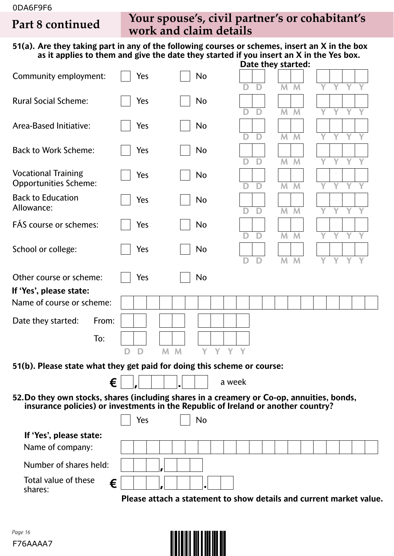# **Part <sup>8</sup> continued Your spouse's, civil partner's or cohabitant's work and claim details**

51(a). Are they taking part in any of the following courses or schemes, insert an X in the box as it applies to them and give the date they started if you insert an X in the Yes box.

|                                                                                                                                                                                 |   |                                                                     |     |           |   |        |   | Date they started: |   |   |  |   |  |  |
|---------------------------------------------------------------------------------------------------------------------------------------------------------------------------------|---|---------------------------------------------------------------------|-----|-----------|---|--------|---|--------------------|---|---|--|---|--|--|
| Community employment:                                                                                                                                                           |   | Yes                                                                 |     | No        |   |        |   |                    |   |   |  |   |  |  |
|                                                                                                                                                                                 |   |                                                                     |     |           |   |        | D | D                  | M | M |  |   |  |  |
| <b>Rural Social Scheme:</b>                                                                                                                                                     |   | Yes                                                                 |     | No        |   |        |   |                    |   |   |  |   |  |  |
|                                                                                                                                                                                 |   |                                                                     |     |           |   |        | D |                    | M | M |  |   |  |  |
| Area-Based Initiative:                                                                                                                                                          |   | Yes                                                                 |     | No        |   |        |   |                    |   |   |  |   |  |  |
|                                                                                                                                                                                 |   |                                                                     |     |           |   |        | D |                    | M | M |  | Y |  |  |
| <b>Back to Work Scheme:</b>                                                                                                                                                     |   | Yes                                                                 |     | No        |   |        |   |                    |   |   |  |   |  |  |
|                                                                                                                                                                                 |   |                                                                     |     |           |   |        | D | D                  | M | M |  | Υ |  |  |
| <b>Vocational Training</b><br><b>Opportunities Scheme:</b>                                                                                                                      |   | Yes                                                                 |     | No        |   |        | D | D                  | M | M |  | Υ |  |  |
| <b>Back to Education</b>                                                                                                                                                        |   | Yes                                                                 |     | No        |   |        |   |                    |   |   |  |   |  |  |
| Allowance:                                                                                                                                                                      |   |                                                                     |     |           |   |        | D | D                  | M | M |  |   |  |  |
| FÁS course or schemes:                                                                                                                                                          |   | Yes                                                                 |     | No        |   |        |   |                    |   |   |  |   |  |  |
|                                                                                                                                                                                 |   |                                                                     |     |           |   |        | D | D                  | M | M |  | Υ |  |  |
| School or college:                                                                                                                                                              |   | Yes                                                                 |     | No        |   |        |   |                    |   |   |  |   |  |  |
|                                                                                                                                                                                 |   |                                                                     |     |           |   |        | D |                    |   |   |  |   |  |  |
| Other course or scheme:                                                                                                                                                         |   | Yes                                                                 |     | <b>No</b> |   |        |   |                    |   |   |  |   |  |  |
| If 'Yes', please state:                                                                                                                                                         |   |                                                                     |     |           |   |        |   |                    |   |   |  |   |  |  |
| Name of course or scheme:                                                                                                                                                       |   |                                                                     |     |           |   |        |   |                    |   |   |  |   |  |  |
| Date they started:<br>From:                                                                                                                                                     |   |                                                                     |     |           |   |        |   |                    |   |   |  |   |  |  |
|                                                                                                                                                                                 |   |                                                                     |     |           |   |        |   |                    |   |   |  |   |  |  |
| To:                                                                                                                                                                             |   |                                                                     |     |           |   |        |   |                    |   |   |  |   |  |  |
|                                                                                                                                                                                 | D | D                                                                   | M M | Y.        | Y | Y      | Y |                    |   |   |  |   |  |  |
| 51(b). Please state what they get paid for doing this scheme or course:                                                                                                         |   |                                                                     |     |           |   |        |   |                    |   |   |  |   |  |  |
| €                                                                                                                                                                               |   |                                                                     |     |           |   | a week |   |                    |   |   |  |   |  |  |
|                                                                                                                                                                                 |   |                                                                     |     |           |   |        |   |                    |   |   |  |   |  |  |
| 52. Do they own stocks, shares (including shares in a creamery or Co-op, annuities, bonds,<br>insurance policies) or investments in the Republic of Ireland or another country? |   |                                                                     |     |           |   |        |   |                    |   |   |  |   |  |  |
|                                                                                                                                                                                 |   | Yes                                                                 |     | No        |   |        |   |                    |   |   |  |   |  |  |
| If 'Yes', please state:                                                                                                                                                         |   |                                                                     |     |           |   |        |   |                    |   |   |  |   |  |  |
| Name of company:                                                                                                                                                                |   |                                                                     |     |           |   |        |   |                    |   |   |  |   |  |  |
|                                                                                                                                                                                 |   |                                                                     |     |           |   |        |   |                    |   |   |  |   |  |  |
| Number of shares held:                                                                                                                                                          |   |                                                                     |     |           |   |        |   |                    |   |   |  |   |  |  |
| Total value of these<br>€                                                                                                                                                       |   |                                                                     |     |           |   |        |   |                    |   |   |  |   |  |  |
| shares:                                                                                                                                                                         |   | Please attach a statement to show details and current market value. |     |           |   |        |   |                    |   |   |  |   |  |  |
|                                                                                                                                                                                 |   |                                                                     |     |           |   |        |   |                    |   |   |  |   |  |  |

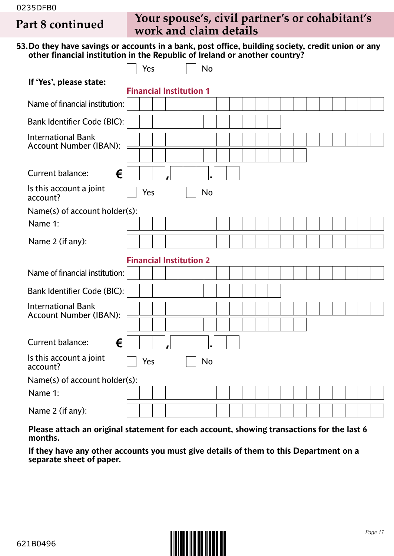# **Part <sup>8</sup> continued Your spouse's, civil partner's or cohabitant's work and claim details**

**53.Do they have savings or accounts in a bank, post office, building society, credit union or any other financial institution in the Republic of Ireland or another country?**

|                                                            | Yes                            |  | <b>No</b> |  |  |  |  |  |  |  |
|------------------------------------------------------------|--------------------------------|--|-----------|--|--|--|--|--|--|--|
| If 'Yes', please state:                                    | <b>Financial Institution 1</b> |  |           |  |  |  |  |  |  |  |
| Name of financial institution:                             |                                |  |           |  |  |  |  |  |  |  |
| <b>Bank Identifier Code (BIC):</b>                         |                                |  |           |  |  |  |  |  |  |  |
| <b>International Bank</b><br><b>Account Number (IBAN):</b> |                                |  |           |  |  |  |  |  |  |  |
| €<br>Current balance:                                      |                                |  |           |  |  |  |  |  |  |  |
| Is this account a joint<br>account?                        | Yes                            |  | No        |  |  |  |  |  |  |  |
| Name(s) of account holder(s):                              |                                |  |           |  |  |  |  |  |  |  |
| Name 1:                                                    |                                |  |           |  |  |  |  |  |  |  |
| Name 2 (if any):                                           |                                |  |           |  |  |  |  |  |  |  |
|                                                            | <b>Financial Institution 2</b> |  |           |  |  |  |  |  |  |  |
| Name of financial institution:                             |                                |  |           |  |  |  |  |  |  |  |
| <b>Bank Identifier Code (BIC):</b>                         |                                |  |           |  |  |  |  |  |  |  |
| <b>International Bank</b><br><b>Account Number (IBAN):</b> |                                |  |           |  |  |  |  |  |  |  |
|                                                            |                                |  |           |  |  |  |  |  |  |  |
| Current balance:<br>€                                      |                                |  |           |  |  |  |  |  |  |  |
| Is this account a joint<br>account?                        | Yes                            |  | No        |  |  |  |  |  |  |  |
| Name(s) of account holder(s):                              |                                |  |           |  |  |  |  |  |  |  |
| Name 1:                                                    |                                |  |           |  |  |  |  |  |  |  |
| Name 2 (if any):                                           |                                |  |           |  |  |  |  |  |  |  |

**Please attach an original statement for each account, showing transactions for the last 6 months.**

**If they have any other accounts you must give details of them to this Department on a separate sheet of paper.**

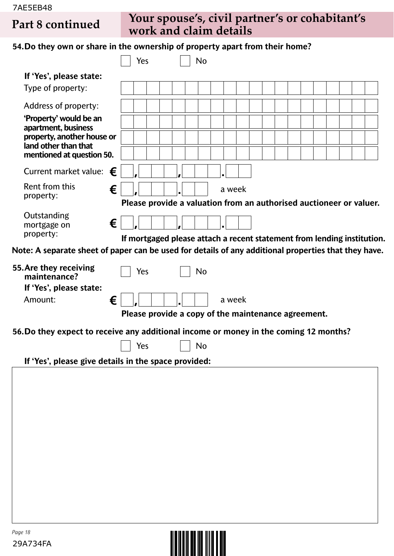7AE5EB48

# **Part <sup>8</sup> continued Your spouse's, civil partner's or cohabitant's work and claim details**

| 54. Do they own or share in the ownership of property apart from their home?                                                     |     |    |        |                                                                         |  |
|----------------------------------------------------------------------------------------------------------------------------------|-----|----|--------|-------------------------------------------------------------------------|--|
|                                                                                                                                  | Yes | No |        |                                                                         |  |
| If 'Yes', please state:                                                                                                          |     |    |        |                                                                         |  |
| Type of property:                                                                                                                |     |    |        |                                                                         |  |
| Address of property:                                                                                                             |     |    |        |                                                                         |  |
| 'Property' would be an<br>apartment, business<br>property, another house or<br>land other than that<br>mentioned at question 50. |     |    |        |                                                                         |  |
| Current market value: $\epsilon$                                                                                                 |     |    |        |                                                                         |  |
| Rent from this<br>€<br>property:                                                                                                 |     |    | a week | Please provide a valuation from an authorised auctioneer or valuer.     |  |
| Outstanding<br>€<br>mortgage on<br>property:                                                                                     |     |    |        | If mortgaged please attach a recent statement from lending institution. |  |
| Note: A separate sheet of paper can be used for details of any additional properties that they have.                             |     |    |        |                                                                         |  |
| 55. Are they receiving<br>maintenance?                                                                                           | Yes | No |        |                                                                         |  |
| If 'Yes', please state:                                                                                                          |     |    |        |                                                                         |  |
| €<br>Amount:                                                                                                                     |     |    | a week |                                                                         |  |
|                                                                                                                                  |     |    |        | Please provide a copy of the maintenance agreement.                     |  |
| 56. Do they expect to receive any additional income or money in the coming 12 months?                                            |     |    |        |                                                                         |  |
|                                                                                                                                  | Yes | No |        |                                                                         |  |
| If 'Yes', please give details in the space provided:                                                                             |     |    |        |                                                                         |  |
|                                                                                                                                  |     |    |        |                                                                         |  |
|                                                                                                                                  |     |    |        |                                                                         |  |

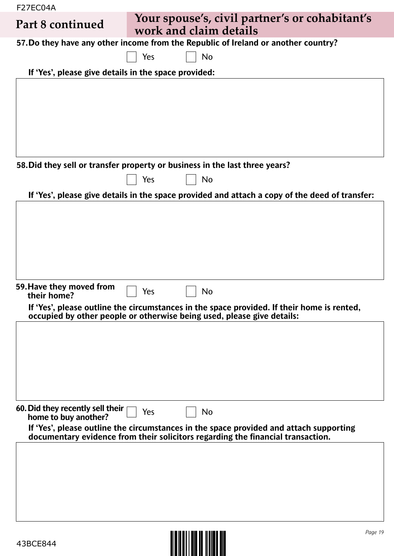| F27EC04A                                             |                                                                                                                                                                           |         |
|------------------------------------------------------|---------------------------------------------------------------------------------------------------------------------------------------------------------------------------|---------|
| Part 8 continued                                     | Your spouse's, civil partner's or cohabitant's<br>work and claim details                                                                                                  |         |
|                                                      | 57. Do they have any other income from the Republic of Ireland or another country?                                                                                        |         |
|                                                      | Yes<br><b>No</b>                                                                                                                                                          |         |
| If 'Yes', please give details in the space provided: |                                                                                                                                                                           |         |
|                                                      |                                                                                                                                                                           |         |
|                                                      |                                                                                                                                                                           |         |
|                                                      |                                                                                                                                                                           |         |
|                                                      |                                                                                                                                                                           |         |
|                                                      |                                                                                                                                                                           |         |
|                                                      |                                                                                                                                                                           |         |
|                                                      |                                                                                                                                                                           |         |
|                                                      | 58. Did they sell or transfer property or business in the last three years?                                                                                               |         |
|                                                      | Yes<br>No                                                                                                                                                                 |         |
|                                                      | If 'Yes', please give details in the space provided and attach a copy of the deed of transfer:                                                                            |         |
|                                                      |                                                                                                                                                                           |         |
|                                                      |                                                                                                                                                                           |         |
|                                                      |                                                                                                                                                                           |         |
|                                                      |                                                                                                                                                                           |         |
|                                                      |                                                                                                                                                                           |         |
|                                                      |                                                                                                                                                                           |         |
| 59. Have they moved from                             |                                                                                                                                                                           |         |
| their home?                                          | <b>No</b><br>Yes                                                                                                                                                          |         |
|                                                      | If 'Yes', please outline the circumstances in the space provided. If their home is rented,                                                                                |         |
|                                                      | occupied by other people or otherwise being used, please give details:                                                                                                    |         |
|                                                      |                                                                                                                                                                           |         |
|                                                      |                                                                                                                                                                           |         |
|                                                      |                                                                                                                                                                           |         |
|                                                      |                                                                                                                                                                           |         |
|                                                      |                                                                                                                                                                           |         |
|                                                      |                                                                                                                                                                           |         |
| 60. Did they recently sell their                     | Yes<br>No                                                                                                                                                                 |         |
| home to buy another?                                 |                                                                                                                                                                           |         |
|                                                      | If 'Yes', please outline the circumstances in the space provided and attach supporting<br>documentary evidence from their solicitors regarding the financial transaction. |         |
|                                                      |                                                                                                                                                                           |         |
|                                                      |                                                                                                                                                                           |         |
|                                                      |                                                                                                                                                                           |         |
|                                                      |                                                                                                                                                                           |         |
|                                                      |                                                                                                                                                                           |         |
|                                                      |                                                                                                                                                                           |         |
|                                                      |                                                                                                                                                                           |         |
|                                                      |                                                                                                                                                                           | Page 19 |

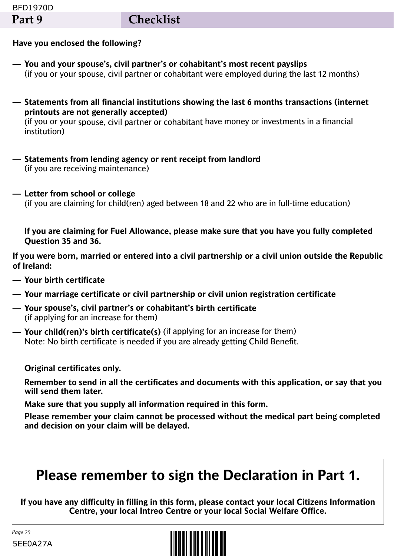# **Part 9 checklist**

# **Have you enclosed the following?**

- **— You and your spouse's, civil partner's or cohabitant's most recent payslips** (if you or your spouse, civil partner or cohabitant were employed during the last 12 months)
- **— Statements from all financial institutions showing the last 6 months transactions (internet printouts are not generally accepted)**

(if you or your spouse, civil partner or cohabitant have money or investments in a financial institution)

- **— Statements from lending agency or rent receipt from landlord** (if you are receiving maintenance)
- **— Letter from school or college**

(if you are claiming for child(ren) aged between 18 and 22 who are in full-time education)

**If you are claiming for Fuel Allowance, please make sure that you have you fully completed Question 35 and 36.**

If you were born, married or entered into a civil partnership or a civil union outside the Republic **of Ireland:**

- **— Your birth certificate**
- **— Your marriage certificate or civil partnership or civil union registration certificate**
- **— Your spouse's, civil partner's or cohabitant's birth certificate** (if applying for an increase for them)
- **— Your child(ren)'s birth certificate(s)** (if applying for an increase for them) Note: No birth certificate is needed if you are already getting Child Benefit.

## **Original certificates only.**

**Remember to send in all the certificates and documents with this application, or say that you will send them later.**

**Make sure that you supply all information required in this form.**

**Please remember your claim cannot be processed without the medical part being completed and decision on your claim will be delayed.**

# **Please remember to sign the Declaration in Part 1.**

**If you have any difficulty in filling in this form, please contact your local Citizens Information Centre, your local Intreo Centre or your local Social Welfare Office.**



*Page 20*

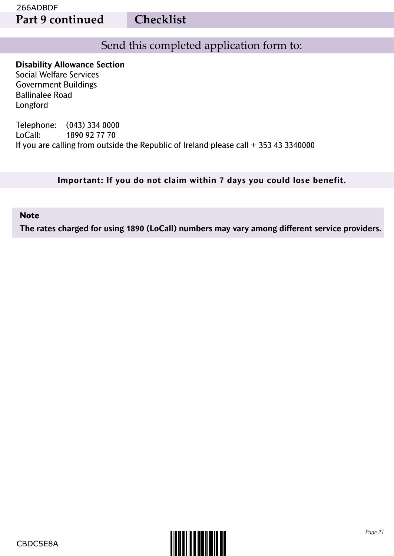266ADBDF **Part 9 continued checklist**

# Send this completed application form to:

**Disability Allowance Section**

Social Welfare Services Government Buildings Ballinalee Road Longford

Telephone: (043) 334 0000 LoCall: 1890 92 77 70 If you are calling from outside the Republic of Ireland please call + 353 43 3340000

**Important: If you do not claim within 7 days you could lose benefit.**

### **Note**

**The rates charged for using 1890 (LoCall) numbers may vary among different service providers.**

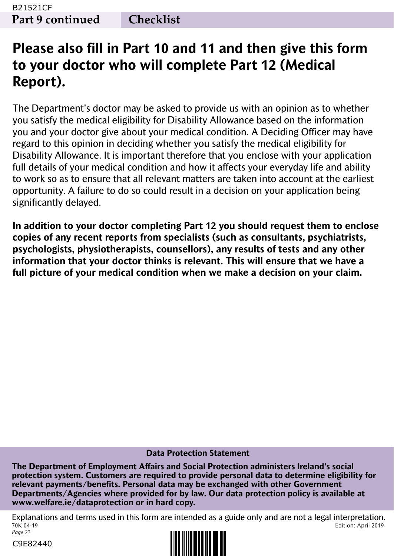# **Please also fill in Part 10 and 11 and then give this form to your doctor who will complete Part 12 (Medical Report).**

The Department's doctor may be asked to provide us with an opinion as to whether you satisfy the medical eligibility for Disability Allowance based on the information you and your doctor give about your medical condition. A Deciding Officer may have regard to this opinion in deciding whether you satisfy the medical eligibility for Disability Allowance. It is important therefore that you enclose with your application full details of your medical condition and how it affects your everyday life and ability to work so as to ensure that all relevant matters are taken into account at the earliest opportunity. A failure to do so could result in a decision on your application being significantly delayed.

**In addition to your doctor completing Part 12 you should request them to enclose copies of any recent reports from specialists (such as consultants, psychiatrists, psychologists, physiotherapists, counsellors), any results of tests and any other information that your doctor thinks is relevant. This will ensure that we have a full picture of your medical condition when we make a decision on your claim.**

### **Data Protection Statement**

**4035018911 The Department of Employment Affairs and Social Protection administers Ireland's social protection system. Customers are required to provide personal data to determine eligibility for relevant payments/benefits. Personal data may be exchanged with other Government Departments/Agencies where provided for by law. Our data protection policy is available at www.welfare.ie/dataprotection or in hard copy.**

70K 04-19 Edition: April 2019 Explanations and terms used in this form are intended as a guide only and are not a legal interpretation. *Page 22*

C9E82440

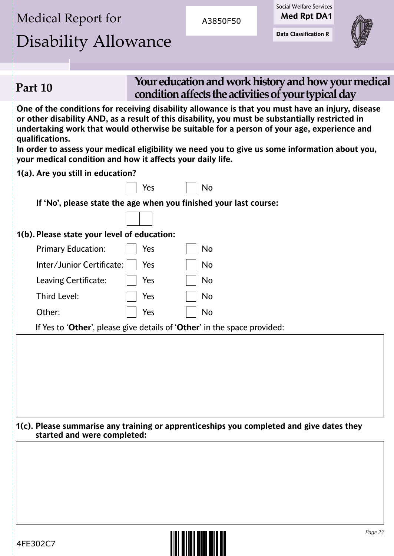A3850F50

**Med Rpt DA1** Social Welfare Services

**Data Classification R**



# Disability Allowance

# Part 10 *Part* **10** *Part* **10** *Part* **10** *Part Part Part Part Part Part Part Part Part Particle Particle Particle Particle Particle Particle Particle* condition affects the activities of your typical day

**One of the conditions for receiving disability allowance is that you must have an injury, disease or other disability AND, as a result of this disability, you must be substantially restricted in undertaking work that would otherwise be suitable for a person of your age, experience and qualifications.**

**In order to assess your medical eligibility we need you to give us some information about you, your medical condition and how it affects your daily life.**

| 1(a). Are you still in education? |  |  |
|-----------------------------------|--|--|
|-----------------------------------|--|--|

|                                                                                                                         | Yes | <b>No</b> |  |  |  |  |  |  |  |
|-------------------------------------------------------------------------------------------------------------------------|-----|-----------|--|--|--|--|--|--|--|
| If 'No', please state the age when you finished your last course:                                                       |     |           |  |  |  |  |  |  |  |
|                                                                                                                         |     |           |  |  |  |  |  |  |  |
| 1(b). Please state your level of education:                                                                             |     |           |  |  |  |  |  |  |  |
| <b>Primary Education:</b>                                                                                               | Yes | <b>No</b> |  |  |  |  |  |  |  |
| Inter/Junior Certificate:                                                                                               | Yes | <b>No</b> |  |  |  |  |  |  |  |
| Leaving Certificate:                                                                                                    | Yes | <b>No</b> |  |  |  |  |  |  |  |
| <b>Third Level:</b>                                                                                                     | Yes | <b>No</b> |  |  |  |  |  |  |  |
| Other:                                                                                                                  | Yes | <b>No</b> |  |  |  |  |  |  |  |
| If Yes to 'Other', please give details of 'Other' in the space provided:                                                |     |           |  |  |  |  |  |  |  |
|                                                                                                                         |     |           |  |  |  |  |  |  |  |
|                                                                                                                         |     |           |  |  |  |  |  |  |  |
|                                                                                                                         |     |           |  |  |  |  |  |  |  |
|                                                                                                                         |     |           |  |  |  |  |  |  |  |
|                                                                                                                         |     |           |  |  |  |  |  |  |  |
| 1(c). Please summarise any training or apprenticeships you completed and give dates they<br>started and were completed: |     |           |  |  |  |  |  |  |  |
|                                                                                                                         |     |           |  |  |  |  |  |  |  |
|                                                                                                                         |     |           |  |  |  |  |  |  |  |
|                                                                                                                         |     |           |  |  |  |  |  |  |  |
|                                                                                                                         |     |           |  |  |  |  |  |  |  |
|                                                                                                                         |     |           |  |  |  |  |  |  |  |



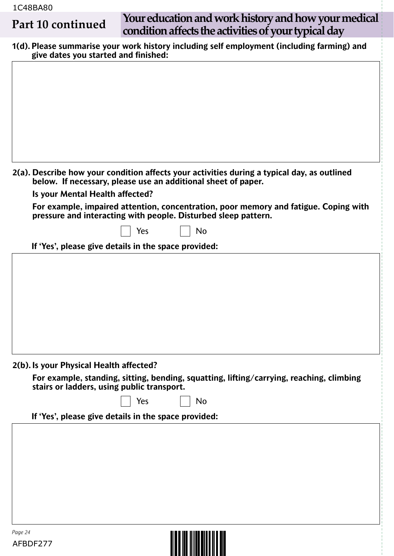| 1C48BA80                                   |                                                                                                                                                              |
|--------------------------------------------|--------------------------------------------------------------------------------------------------------------------------------------------------------------|
| Part 10 continued                          | Your education and work history and how your medical<br>condition affects the activities of your typical day                                                 |
| give dates you started and finished:       | 1(d). Please summarise your work history including self employment (including farming) and                                                                   |
|                                            |                                                                                                                                                              |
| Is your Mental Health affected?            | 2(a). Describe how your condition affects your activities during a typical day, as outlined<br>below. If necessary, please use an additional sheet of paper. |
|                                            | For example, impaired attention, concentration, poor memory and fatigue. Coping with<br>pressure and interacting with people. Disturbed sleep pattern.       |
|                                            | Yes<br>No                                                                                                                                                    |
|                                            | If 'Yes', please give details in the space provided:                                                                                                         |
|                                            |                                                                                                                                                              |
| 2(b). Is your Physical Health affected?    |                                                                                                                                                              |
| stairs or ladders, using public transport. | For example, standing, sitting, bending, squatting, lifting/carrying, reaching, climbing                                                                     |
|                                            | Yes<br>N <sub>0</sub>                                                                                                                                        |
|                                            | If 'Yes', please give details in the space provided:                                                                                                         |
| Page 24                                    |                                                                                                                                                              |
|                                            |                                                                                                                                                              |

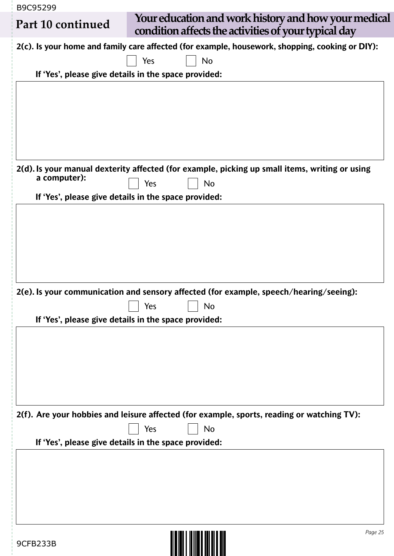| B9C95299          |                                                                                                                                                                 |
|-------------------|-----------------------------------------------------------------------------------------------------------------------------------------------------------------|
| Part 10 continued | Your education and work history and how your medical<br>condition affects the activities of your typical day                                                    |
|                   | 2(c). Is your home and family care affected (for example, housework, shopping, cooking or DIY):                                                                 |
|                   | Yes<br><b>No</b>                                                                                                                                                |
|                   | If 'Yes', please give details in the space provided:                                                                                                            |
|                   |                                                                                                                                                                 |
| a computer):      | 2(d). Is your manual dexterity affected (for example, picking up small items, writing or using<br><b>No</b><br>Yes                                              |
|                   | If 'Yes', please give details in the space provided:                                                                                                            |
|                   |                                                                                                                                                                 |
|                   | 2(e). Is your communication and sensory affected (for example, speech/hearing/seeing):<br>No<br>Yes<br>If 'Yes', please give details in the space provided:     |
|                   |                                                                                                                                                                 |
|                   | 2(f). Are your hobbies and leisure affected (for example, sports, reading or watching TV):<br>Yes<br>No<br>If 'Yes', please give details in the space provided: |
|                   |                                                                                                                                                                 |
| 9CFB233B          | Page 25                                                                                                                                                         |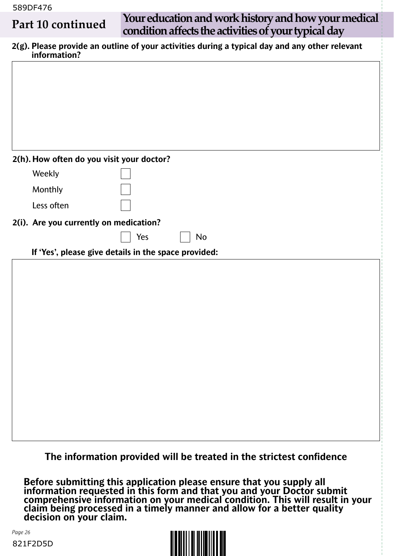589DF476

**Part <sup>10</sup> continued Youreducationandworkhistoryandhowyourmedical** condition affects the activities of your typical day

| 2(g). Please provide an outline of your activities during a typical day and any other relevant |  |  |
|------------------------------------------------------------------------------------------------|--|--|
| information?                                                                                   |  |  |

| 2(h). How often do you visit your doctor? |  |
|-------------------------------------------|--|
| $M_{\odot}$ okh                           |  |

| Weekly                                               |     |    |  |
|------------------------------------------------------|-----|----|--|
| Monthly                                              |     |    |  |
| Less often                                           |     |    |  |
| 2(i). Are you currently on medication?               |     |    |  |
|                                                      | Yes | No |  |
| If 'Yes', please give details in the space provided: |     |    |  |
|                                                      |     |    |  |
|                                                      |     |    |  |
|                                                      |     |    |  |
|                                                      |     |    |  |
|                                                      |     |    |  |
|                                                      |     |    |  |
|                                                      |     |    |  |
|                                                      |     |    |  |
|                                                      |     |    |  |
|                                                      |     |    |  |
|                                                      |     |    |  |
|                                                      |     |    |  |

**The information provided will be treated in the strictest confidence**

**Before submitting this application please ensure that you supply all information requested in this form and that you and your Doctor submit comprehensive information on your medical condition. This will result in your claim being processed in <sup>a</sup> timely manner and allow for <sup>a</sup> better quality decision on your claim.**

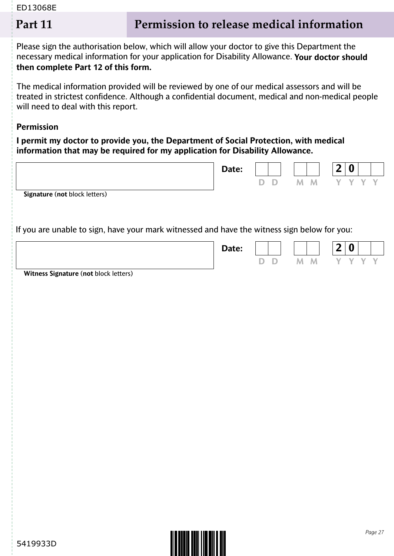### ED13068E

# **Part 11 Permission to release medical information**

Please sign the authorisation below, which will allow your doctor to give this Department the necessary medical information for your application for Disability Allowance. **Your doctor should then complete Part 12 of this form.**

The medical information provided will be reviewed by one of our medical assessors and will be treated in strictest confidence. Although a confidential document, medical and non-medical people will need to deal with this report.

### **Permission**

### **I permit my doctor to provide you, the Department of Social Protection, with medical information that may be required for my application for Disability Allowance.**

|                                      | Date: |  |  |     | −   | n |  |
|--------------------------------------|-------|--|--|-----|-----|---|--|
|                                      |       |  |  | M M | Y Y |   |  |
| <b>Signature (not block letters)</b> |       |  |  |     |     |   |  |

If you are unable to sign, have your mark witnessed and have the witness sign below for you:



**Witness Signature** (**not** block letters)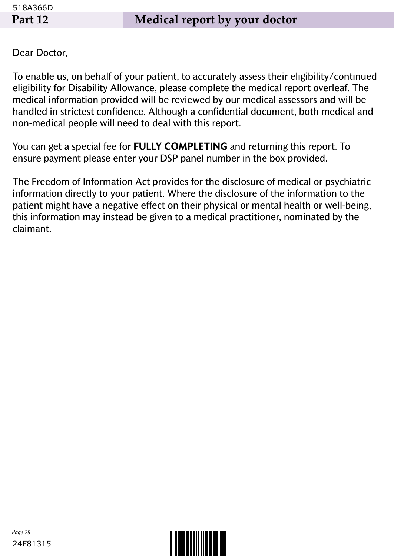Dear Doctor,

To enable us, on behalf of your patient, to accurately assess their eligibility/continued eligibility for Disability Allowance, please complete the medical report overleaf. The medical information provided will be reviewed by our medical assessors and will be handled in strictest confidence. Although a confidential document, both medical and non-medical people will need to deal with this report.

You can get a special fee for **FULLY COMPLETING** and returning this report. To ensure payment please enter your DSP panel number in the box provided.

The Freedom of Information Act provides for the disclosure of medical or psychiatric information directly to your patient. Where the disclosure of the information to the patient might have a negative effect on their physical or mental health or well-being, this information may instead be given to a medical practitioner, nominated by the claimant.

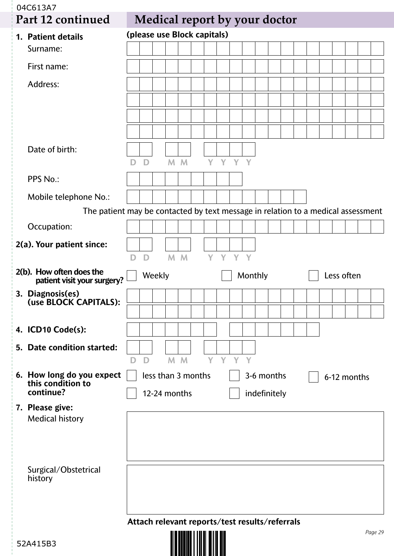| Part 12 continued                                                                |   |   |        | Medical report by your doctor                  |                                                                                                                       |  |         |              |         |              |  |  |             |         |  |
|----------------------------------------------------------------------------------|---|---|--------|------------------------------------------------|-----------------------------------------------------------------------------------------------------------------------|--|---------|--------------|---------|--------------|--|--|-------------|---------|--|
| 1. Patient details                                                               |   |   |        | (please use Block capitals)                    |                                                                                                                       |  |         |              |         |              |  |  |             |         |  |
| Surname:                                                                         |   |   |        |                                                |                                                                                                                       |  |         |              |         |              |  |  |             |         |  |
| First name:                                                                      |   |   |        |                                                |                                                                                                                       |  |         |              |         |              |  |  |             |         |  |
| Address:                                                                         |   |   |        |                                                |                                                                                                                       |  |         |              |         |              |  |  |             |         |  |
|                                                                                  |   |   |        |                                                |                                                                                                                       |  |         |              |         |              |  |  |             |         |  |
|                                                                                  |   |   |        |                                                |                                                                                                                       |  |         |              |         |              |  |  |             |         |  |
|                                                                                  |   |   |        |                                                |                                                                                                                       |  |         |              |         |              |  |  |             |         |  |
| Date of birth:                                                                   |   |   |        |                                                |                                                                                                                       |  |         |              |         |              |  |  |             |         |  |
|                                                                                  | D | D |        |                                                | M M                                                                                                                   |  | Y Y Y Y |              |         |              |  |  |             |         |  |
| PPS No.:                                                                         |   |   |        |                                                |                                                                                                                       |  |         |              |         |              |  |  |             |         |  |
| Mobile telephone No.:                                                            |   |   |        |                                                |                                                                                                                       |  |         |              |         |              |  |  |             |         |  |
| The patient may be contacted by text message in relation to a medical assessment |   |   |        |                                                |                                                                                                                       |  |         |              |         |              |  |  |             |         |  |
| Occupation:                                                                      |   |   |        |                                                |                                                                                                                       |  |         |              |         |              |  |  |             |         |  |
| 2(a). Your patient since:                                                        |   |   |        |                                                |                                                                                                                       |  |         |              |         |              |  |  |             |         |  |
|                                                                                  | D | D |        |                                                | M <sub>M</sub>                                                                                                        |  | Y Y Y Y |              |         |              |  |  |             |         |  |
| 2(b). How often does the<br>patient visit your surgery?                          |   |   | Weekly |                                                |                                                                                                                       |  |         |              | Monthly |              |  |  | Less often  |         |  |
| 3. Diagnosis(es)                                                                 |   |   |        |                                                |                                                                                                                       |  |         |              |         |              |  |  |             |         |  |
| (use BLOCK CAPITALS):                                                            |   |   |        |                                                |                                                                                                                       |  |         |              |         |              |  |  |             |         |  |
| 4. ICD10 Code(s):                                                                |   |   |        |                                                |                                                                                                                       |  |         |              |         |              |  |  |             |         |  |
| 5. Date condition started:                                                       |   |   |        |                                                |                                                                                                                       |  |         |              |         |              |  |  |             |         |  |
|                                                                                  | D | D |        |                                                | M M                                                                                                                   |  | Y Y Y   | $\mathbf{Y}$ |         |              |  |  |             |         |  |
| 6. How long do you expect<br>this condition to                                   |   |   |        | less than 3 months                             |                                                                                                                       |  |         |              |         | 3-6 months   |  |  | 6-12 months |         |  |
| continue?                                                                        |   |   |        | 12-24 months                                   |                                                                                                                       |  |         |              |         | indefinitely |  |  |             |         |  |
| 7. Please give:                                                                  |   |   |        |                                                |                                                                                                                       |  |         |              |         |              |  |  |             |         |  |
| <b>Medical history</b>                                                           |   |   |        |                                                |                                                                                                                       |  |         |              |         |              |  |  |             |         |  |
|                                                                                  |   |   |        |                                                |                                                                                                                       |  |         |              |         |              |  |  |             |         |  |
|                                                                                  |   |   |        |                                                |                                                                                                                       |  |         |              |         |              |  |  |             |         |  |
| Surgical/Obstetrical<br>history                                                  |   |   |        |                                                |                                                                                                                       |  |         |              |         |              |  |  |             |         |  |
|                                                                                  |   |   |        |                                                |                                                                                                                       |  |         |              |         |              |  |  |             |         |  |
|                                                                                  |   |   |        |                                                |                                                                                                                       |  |         |              |         |              |  |  |             |         |  |
|                                                                                  |   |   |        | Attach relevant reports/test results/referrals |                                                                                                                       |  |         |              |         |              |  |  |             |         |  |
| $\Gamma \cap \Lambda$ $\Lambda$ 1 $\Gamma \cap \Gamma$                           |   |   |        |                                                | <u> ALIMINI ALIMINI ILIMINI ILIMINI ILIMINI ILIMINI ILIMINI ILIMINI ILIMINI ILIMINI ILIMINI ILIMINI ILIMINI ILIMI</u> |  |         |              |         |              |  |  |             | Page 29 |  |

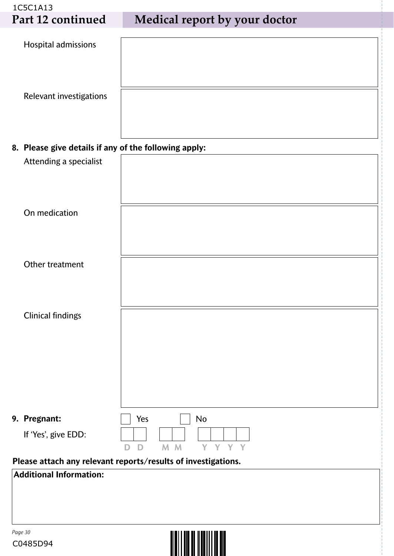| Part 12 continued                                                               | Medical report by your doctor                                 |
|---------------------------------------------------------------------------------|---------------------------------------------------------------|
| Hospital admissions                                                             |                                                               |
| Relevant investigations                                                         |                                                               |
| 8. Please give details if any of the following apply:<br>Attending a specialist |                                                               |
| On medication                                                                   |                                                               |
|                                                                                 |                                                               |
| Other treatment                                                                 |                                                               |
| <b>Clinical findings</b>                                                        |                                                               |
| 9. Pregnant:                                                                    | No<br>Yes                                                     |
| If 'Yes', give EDD:                                                             | Y Y Y<br>Y<br>M M<br>$\mathbf{D}$<br>D                        |
| <b>Additional Information:</b>                                                  | Please attach any relevant reports/results of investigations. |
|                                                                                 |                                                               |

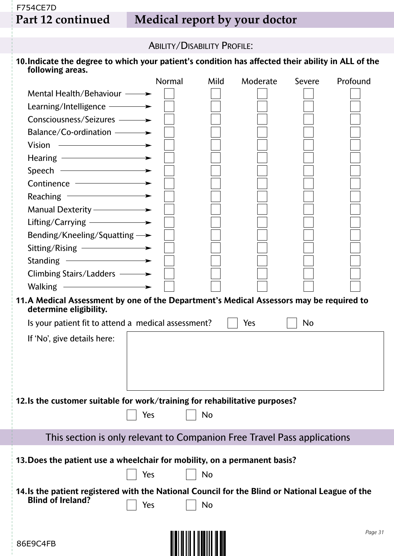F754CE7D<br>**Part 12 continued** 

# ABILITY/DISABILITY PROFILE:

# **10.Indicate the degree to which your patient's condition has affected their ability in ALL of the following areas.**

|                                                                                                                                                                                                                                      | Normal | Mild | Moderate | Severe | Profound |
|--------------------------------------------------------------------------------------------------------------------------------------------------------------------------------------------------------------------------------------|--------|------|----------|--------|----------|
| Mental Health/Behaviour $\longrightarrow$                                                                                                                                                                                            |        |      |          |        |          |
| Learning/Intelligence –––––––                                                                                                                                                                                                        |        |      |          |        |          |
| Consciousness/Seizures ——                                                                                                                                                                                                            |        |      |          |        |          |
| Balance/Co-ordination ——                                                                                                                                                                                                             |        |      |          |        |          |
| $Vision \ \ \$                                                                                                                                                                                                                       |        |      |          |        |          |
| Hearing <u>and the set of the set of the set of the set of the set of the set of the set of the set of the set of the set of the set of the set of the set of the set of the set of the set of the set of the set of the set of </u> |        |      |          |        |          |
| Speech $\longrightarrow$                                                                                                                                                                                                             |        |      |          |        |          |
| Continence <u>&gt;</u>                                                                                                                                                                                                               |        |      |          |        |          |
| Reaching $\longrightarrow$                                                                                                                                                                                                           |        |      |          |        |          |
| Manual Dexterity - Same School                                                                                                                                                                                                       |        |      |          |        |          |
| Lifting/Carrying ––––––––––––                                                                                                                                                                                                        |        |      |          |        |          |
| Bending/Kneeling/Squatting $\rightarrow$                                                                                                                                                                                             |        |      |          |        |          |
|                                                                                                                                                                                                                                      |        |      |          |        |          |
| Standing <u>and the standing</u>                                                                                                                                                                                                     |        |      |          |        |          |
| Climbing Stairs/Ladders ——                                                                                                                                                                                                           |        |      |          |        |          |
| Walking <u>and</u>                                                                                                                                                                                                                   |        |      |          |        |          |
| 11.A Medical Assessment by one of the Department's Medical Assessors may be required to<br>determine eligibility.                                                                                                                    |        |      |          |        |          |
| Is your patient fit to attend a medical assessment?                                                                                                                                                                                  |        |      | Yes      | No.    |          |
| If 'No', give details here:                                                                                                                                                                                                          |        |      |          |        |          |
| 12. Is the customer suitable for work/training for rehabilitative purposes?                                                                                                                                                          |        |      |          |        |          |
|                                                                                                                                                                                                                                      | Yes    | No   |          |        |          |
| This section is only relevant to Companion Free Travel Pass applications                                                                                                                                                             |        |      |          |        |          |
| 13. Does the patient use a wheelchair for mobility, on a permanent basis?                                                                                                                                                            |        |      |          |        |          |
|                                                                                                                                                                                                                                      | Yes    | No   |          |        |          |
| 14. Is the patient registered with the National Council for the Blind or National League of the<br><b>Blind of Ireland?</b>                                                                                                          | Yes    | No   |          |        |          |
| 86E9C4FB                                                                                                                                                                                                                             |        |      |          |        | Page 31  |

<u> ANTALIA I III III ANT</u>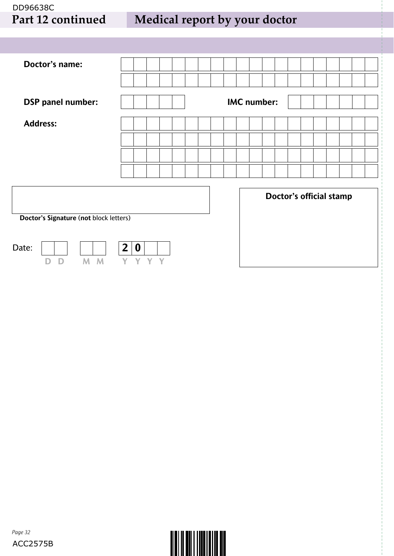# DD96638C<br>Part 12 continued

# **Medical report by your doctor**

| Doctor's name:                         |                                              |        |  |  |  |                    |  |  |                                |  |  |
|----------------------------------------|----------------------------------------------|--------|--|--|--|--------------------|--|--|--------------------------------|--|--|
|                                        |                                              |        |  |  |  |                    |  |  |                                |  |  |
| <b>DSP</b> panel number:               |                                              |        |  |  |  | <b>IMC</b> number: |  |  |                                |  |  |
| <b>Address:</b>                        |                                              |        |  |  |  |                    |  |  |                                |  |  |
|                                        |                                              |        |  |  |  |                    |  |  |                                |  |  |
|                                        |                                              |        |  |  |  |                    |  |  |                                |  |  |
|                                        |                                              |        |  |  |  |                    |  |  |                                |  |  |
| Doctor's Signature (not block letters) |                                              |        |  |  |  |                    |  |  | <b>Doctor's official stamp</b> |  |  |
| Date:<br>M<br>D<br>M                   | $\overline{2}$<br>$\boldsymbol{0}$<br>Y<br>v | Υ<br>v |  |  |  |                    |  |  |                                |  |  |

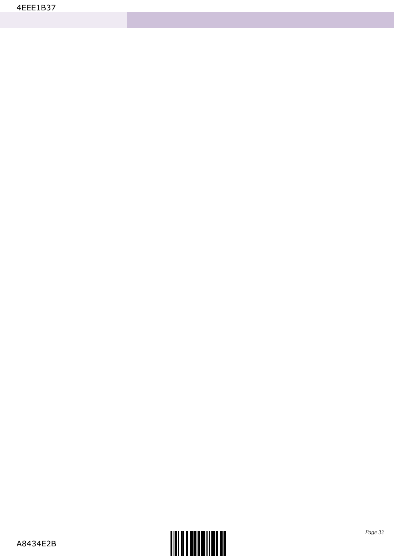